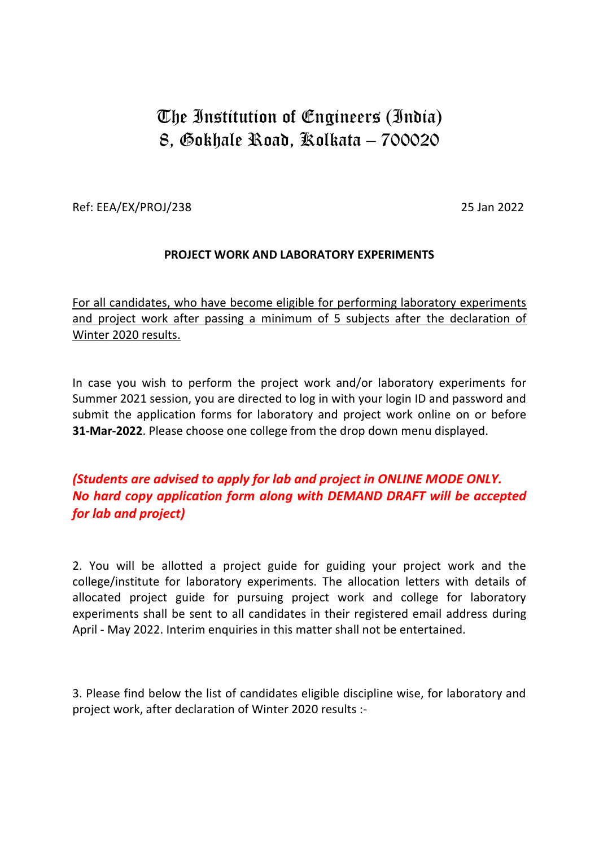# The Institution of Engineers (India) 8, Gokhale Road, Kolkata – 700020

Ref: EEA/EX/PROJ/238 25 Jan 2022

## **PROJECT WORK AND LABORATORY EXPERIMENTS**

For all candidates, who have become eligible for performing laboratory experiments and project work after passing a minimum of 5 subjects after the declaration of Winter 2020 results.

In case you wish to perform the project work and/or laboratory experiments for Summer 2021 session, you are directed to log in with your login ID and password and submit the application forms for laboratory and project work online on or before **31-Mar-2022**. Please choose one college from the drop down menu displayed.

## *(Students are advised to apply for lab and project in ONLINE MODE ONLY. No hard copy application form along with DEMAND DRAFT will be accepted for lab and project)*

2. You will be allotted a project guide for guiding your project work and the college/institute for laboratory experiments. The allocation letters with details of allocated project guide for pursuing project work and college for laboratory experiments shall be sent to all candidates in their registered email address during April - May 2022. Interim enquiries in this matter shall not be entertained.

3. Please find below the list of candidates eligible discipline wise, for laboratory and project work, after declaration of Winter 2020 results :-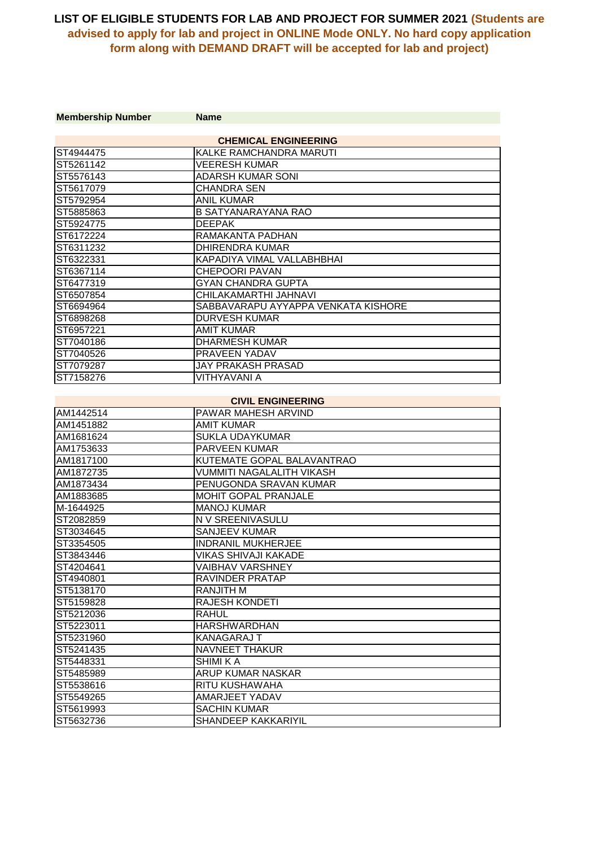| <b>Membership Number</b> | <b>Name</b>                         |
|--------------------------|-------------------------------------|
|                          | <b>CHEMICAL ENGINEERING</b>         |
| ST4944475                | KALKE RAMCHANDRA MARUTI             |
| ST5261142                | <b>VEERESH KUMAR</b>                |
| ST5576143                | ADARSH KUMAR SONI                   |
| ST5617079                | <b>CHANDRA SEN</b>                  |
| ST5792954                | <b>ANIL KUMAR</b>                   |
| ST5885863                | <b>B SATYANARAYANA RAO</b>          |
| ST5924775                | <b>DEEPAK</b>                       |
| ST6172224                | RAMAKANTA PADHAN                    |
| ST6311232                | <b>DHIRENDRA KUMAR</b>              |
| ST6322331                | KAPADIYA VIMAL VALLABHBHAI          |
| ST6367114                | <b>CHEPOORI PAVAN</b>               |
| ST6477319                | <b>GYAN CHANDRA GUPTA</b>           |
| ST6507854                | CHILAKAMARTHI JAHNAVI               |
| ST6694964                | SABBAVARAPU AYYAPPA VENKATA KISHORE |
| ST6898268                | <b>DURVESH KUMAR</b>                |
| ST6957221                | <b>AMIT KUMAR</b>                   |
| ST7040186                | <b>DHARMESH KUMAR</b>               |
| ST7040526                | PRAVEEN YADAV                       |
| ST7079287                | <b>JAY PRAKASH PRASAD</b>           |
| ST7158276                | <b>VITHYAVANI A</b>                 |
|                          |                                     |
|                          | <b>CIVIL ENGINEERING</b>            |
| AM1442514                | <b>PAWAR MAHESH ARVIND</b>          |
| AM1451882                | <b>AMIT KUMAR</b>                   |
| AM1681624                | <b>SUKLA UDAYKUMAR</b>              |
| AM1753633                | <b>PARVEEN KUMAR</b>                |
| AM1817100                | KUTEMATE GOPAL BALAVANTRAO          |
| AM1872735                | <b>VUMMITI NAGALALITH VIKASH</b>    |
| AM1873434                | PENUGONDA SRAVAN KUMAR              |
| AM1883685                | MOHIT GOPAL PRANJALE                |
| M-1644925                | <b>MANOJ KUMAR</b>                  |
| ST2082859                | N V SREENIVASULU                    |
| ST3034645                | <b>SANJEEV KUMAR</b>                |
| ST3354505                | <b>INDRANIL MUKHERJEE</b>           |
| ST3843446                | <b>VIKAS SHIVAJI KAKADE</b>         |
| ST4204641                | <b>VAIBHAV VARSHNEY</b>             |
| ST4940801                | RAVINDER PRATAP                     |
| ST5138170                | <b>RANJITH M</b>                    |
| ST5159828                | <b>RAJESH KONDETI</b>               |
| ST5212036                | <b>RAHUL</b>                        |
| ST5223011                | <b>HARSHWARDHAN</b>                 |
| ST5231960                | KANAGARAJ T                         |
| ST5241435                | NAVNEET THAKUR                      |
| ST5448331                | <b>SHIMI KA</b>                     |
| ST5485989                | ARUP KUMAR NASKAR                   |
| ST5538616                | RITU KUSHAWAHA                      |
| ST5549265                | AMARJEET YADAV                      |
| ST5619993                | <b>SACHIN KUMAR</b>                 |
| ST5632736                | SHANDEEP KAKKARIYIL                 |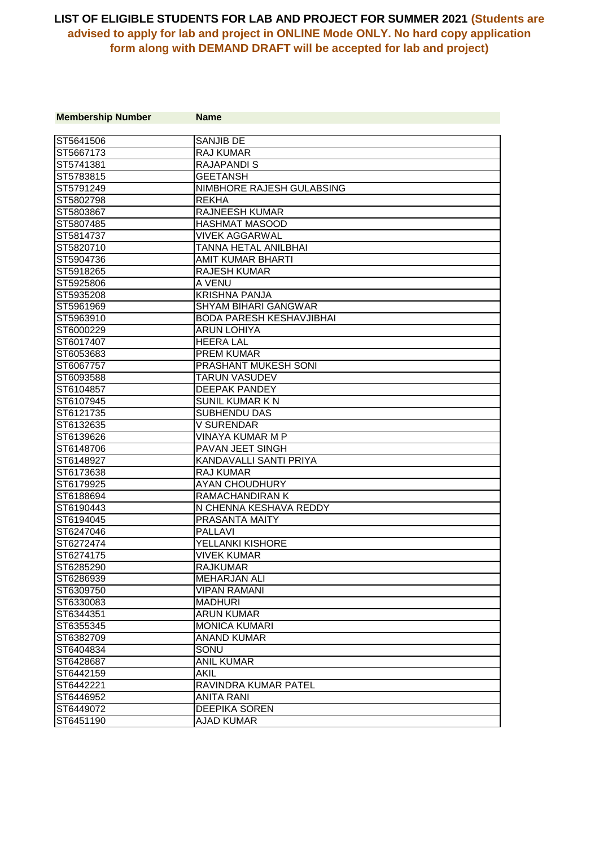| <b>Membership Number</b> | <b>Name</b>                     |
|--------------------------|---------------------------------|
| ST5641506                | <b>SANJIB DE</b>                |
| ST5667173                | <b>RAJ KUMAR</b>                |
| ST5741381                | <b>RAJAPANDI S</b>              |
| ST5783815                | <b>GEETANSH</b>                 |
| ST5791249                | NIMBHORE RAJESH GULABSING       |
| ST5802798                | <b>REKHA</b>                    |
| ST5803867                | <b>RAJNEESH KUMAR</b>           |
| ST5807485                | <b>HASHMAT MASOOD</b>           |
| ST5814737                | <b>VIVEK AGGARWAL</b>           |
| ST5820710                | TANNA HETAL ANILBHAI            |
| ST5904736                | AMIT KUMAR BHARTI               |
| ST5918265                | <b>RAJESH KUMAR</b>             |
| ST5925806                | A VENU                          |
| ST5935208                | <b>KRISHNA PANJA</b>            |
| ST5961969                | <b>SHYAM BIHARI GANGWAR</b>     |
| ST5963910                | <b>BODA PARESH KESHAVJIBHAI</b> |
| ST6000229                | <b>ARUN LOHIYA</b>              |
| ST6017407                | <b>HEERA LAL</b>                |
| ST6053683                | <b>PREM KUMAR</b>               |
| ST6067757                | PRASHANT MUKESH SONI            |
| ST6093588                | <b>TARUN VASUDEV</b>            |
| ST6104857                | <b>DEEPAK PANDEY</b>            |
| ST6107945                | <b>SUNIL KUMAR K N</b>          |
| ST6121735                | SUBHENDU DAS                    |
| ST6132635                | <b>V SURENDAR</b>               |
| ST6139626                | VINAYA KUMAR M P                |
| ST6148706                | PAVAN JEET SINGH                |
| ST6148927                | KANDAVALLI SANTI PRIYA          |
| ST6173638                | <b>RAJ KUMAR</b>                |
| ST6179925                | <b>AYAN CHOUDHURY</b>           |
| ST6188694                | <b>RAMACHANDIRAN K</b>          |
| ST6190443                | N CHENNA KESHAVA REDDY          |
| ST6194045                | PRASANTA MAITY                  |
| ST6247046                | <b>PALLAVI</b>                  |
| ST6272474                | YELLANKI KISHORE                |
| ST6274175                | <b>VIVEK KUMAR</b>              |
| ST6285290                | <b>RAJKUMAR</b>                 |
| ST6286939                | <b>MEHARJAN ALI</b>             |
| ST6309750                | <b>VIPAN RAMANI</b>             |
| ST6330083                | <b>MADHURI</b>                  |
| ST6344351                | <b>ARUN KUMAR</b>               |
| ST6355345                | <b>MONICA KUMARI</b>            |
| ST6382709                | <b>ANAND KUMAR</b>              |
| ST6404834                | SONU                            |
| ST6428687                | <b>ANIL KUMAR</b>               |
| ST6442159                | <b>AKIL</b>                     |
| ST6442221                | RAVINDRA KUMAR PATEL            |
| ST6446952                | <b>ANITA RANI</b>               |
| ST6449072                | <b>DEEPIKA SOREN</b>            |
| ST6451190                | <b>AJAD KUMAR</b>               |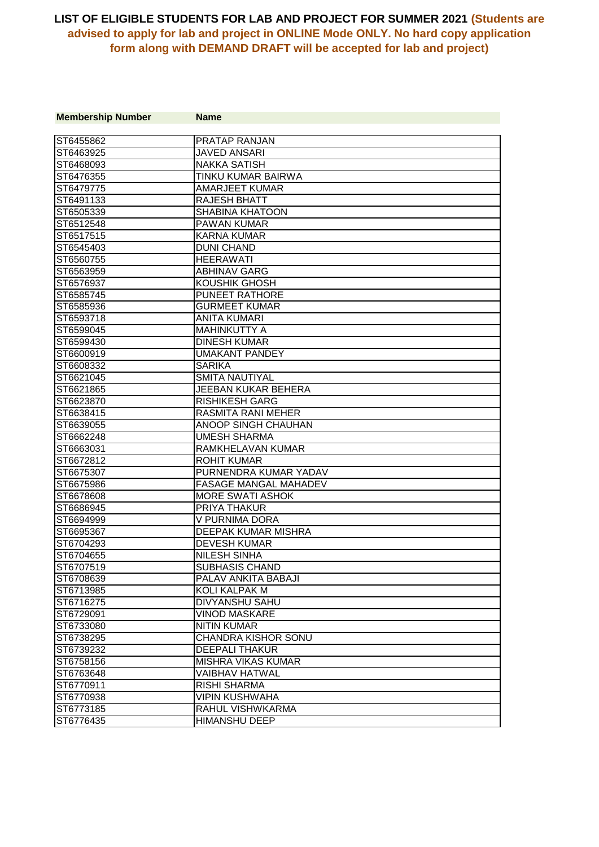| <b>Membership Number</b> | <b>Name</b>                  |
|--------------------------|------------------------------|
|                          |                              |
| ST6455862                | <b>PRATAP RANJAN</b>         |
| ST6463925                | <b>JAVED ANSARI</b>          |
| ST6468093                | <b>NAKKA SATISH</b>          |
| ST6476355                | TINKU KUMAR BAIRWA           |
| ST6479775                | AMARJEET KUMAR               |
| ST6491133                | RAJESH BHATT                 |
| ST6505339                | <b>SHABINA KHATOON</b>       |
| ST6512548                | <b>PAWAN KUMAR</b>           |
| ST6517515                | <b>KARNA KUMAR</b>           |
| ST6545403                | <b>DUNI CHAND</b>            |
| ST6560755                | <b>HEERAWATI</b>             |
| ST6563959                | <b>ABHINAV GARG</b>          |
| ST6576937                | KOUSHIK GHOSH                |
| ST6585745                | <b>PUNEET RATHORE</b>        |
| ST6585936                | <b>GURMEET KUMAR</b>         |
| ST6593718                | <b>ANITA KUMARI</b>          |
| ST6599045                | <b>MAHINKUTTY A</b>          |
| ST6599430                | <b>DINESH KUMAR</b>          |
| ST6600919                | <b>UMAKANT PANDEY</b>        |
| ST6608332                | <b>SARIKA</b>                |
| ST6621045                | <b>SMITA NAUTIYAL</b>        |
| ST6621865                | JEEBAN KUKAR BEHERA          |
| ST6623870                | <b>RISHIKESH GARG</b>        |
| ST6638415                | <b>RASMITA RANI MEHER</b>    |
| ST6639055                | ANOOP SINGH CHAUHAN          |
| ST6662248                | <b>UMESH SHARMA</b>          |
| ST6663031                | RAMKHELAVAN KUMAR            |
| ST6672812                | <b>ROHIT KUMAR</b>           |
| ST6675307                | PURNENDRA KUMAR YADAV        |
| ST6675986                | <b>FASAGE MANGAL MAHADEV</b> |
| ST6678608                | <b>MORE SWATI ASHOK</b>      |
| ST6686945                | <b>PRIYA THAKUR</b>          |
| ST6694999                | V PURNIMA DORA               |
| ST6695367                | DEEPAK KUMAR MISHRA          |
| ST6704293                | <b>DEVESH KUMAR</b>          |
| ST6704655                | <b>NILESH SINHA</b>          |
| ST6707519                | <b>SUBHASIS CHAND</b>        |
| ST6708639                | PALAV ANKITA BABAJI          |
| ST6713985                | KOLI KALPAK M                |
| ST6716275                | <b>DIVYANSHU SAHU</b>        |
| ST6729091                | <b>VINOD MASKARE</b>         |
| ST6733080                | <b>NITIN KUMAR</b>           |
| ST6738295                | <b>CHANDRA KISHOR SONU</b>   |
| ST6739232                | <b>DEEPALI THAKUR</b>        |
| ST6758156                | <b>MISHRA VIKAS KUMAR</b>    |
| ST6763648                | <b>VAIBHAV HATWAL</b>        |
| ST6770911                | <b>RISHI SHARMA</b>          |
| ST6770938                | <b>VIPIN KUSHWAHA</b>        |
| ST6773185                | RAHUL VISHWKARMA             |
| ST6776435                | <b>HIMANSHU DEEP</b>         |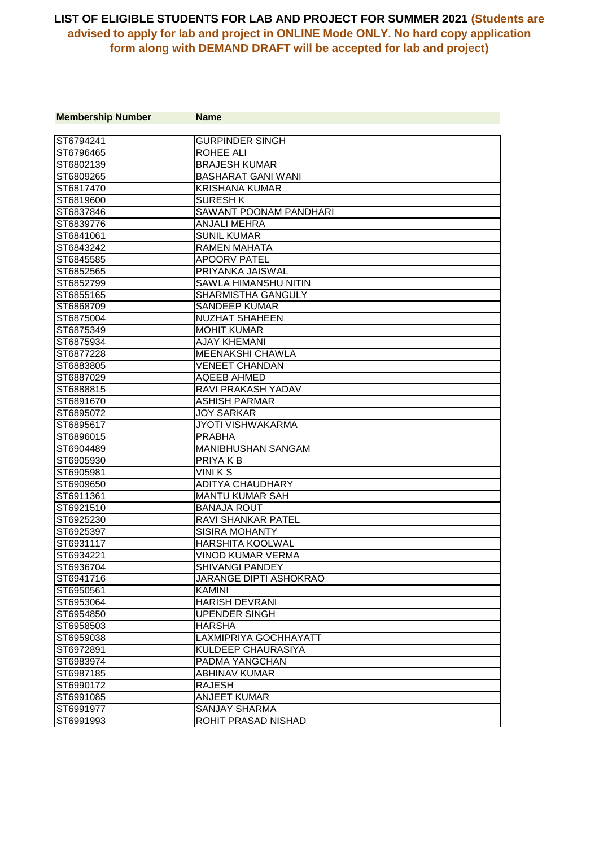| <b>Membership Number</b> | <b>Name</b>               |
|--------------------------|---------------------------|
|                          |                           |
| ST6794241                | <b>GURPINDER SINGH</b>    |
| ST6796465                | <b>ROHEE ALI</b>          |
| ST6802139                | <b>BRAJESH KUMAR</b>      |
| ST6809265                | <b>BASHARAT GANI WANI</b> |
| ST6817470                | <b>KRISHANA KUMAR</b>     |
| ST6819600                | <b>SURESH K</b>           |
| ST6837846                | SAWANT POONAM PANDHARI    |
| ST6839776                | <b>ANJALI MEHRA</b>       |
| ST6841061                | <b>SUNIL KUMAR</b>        |
| ST6843242                | RAMEN MAHATA              |
| ST6845585                | <b>APOORV PATEL</b>       |
| ST6852565                | PRIYANKA JAISWAL          |
| ST6852799                | SAWLA HIMANSHU NITIN      |
| ST6855165                | SHARMISTHA GANGULY        |
| ST6868709                | <b>SANDEEP KUMAR</b>      |
| ST6875004                | <b>NUZHAT SHAHEEN</b>     |
| ST6875349                | <b>MOHIT KUMAR</b>        |
| ST6875934                | <b>AJAY KHEMANI</b>       |
| ST6877228                | <b>MEENAKSHI CHAWLA</b>   |
| ST6883805                | <b>VENEET CHANDAN</b>     |
| ST6887029                | <b>AQEEB AHMED</b>        |
| ST6888815                | <b>RAVI PRAKASH YADAV</b> |
| ST6891670                | <b>ASHISH PARMAR</b>      |
| ST6895072                | <b>JOY SARKAR</b>         |
| ST6895617                | <b>JYOTI VISHWAKARMA</b>  |
| ST6896015                | <b>PRABHA</b>             |
| ST6904489                | <b>MANIBHUSHAN SANGAM</b> |
| ST6905930                | PRIYA K B                 |
| ST6905981                | VINI K S                  |
| ST6909650                | <b>ADITYA CHAUDHARY</b>   |
| ST6911361                | <b>MANTU KUMAR SAH</b>    |
| ST6921510                | <b>BANAJA ROUT</b>        |
| ST6925230                | <b>RAVI SHANKAR PATEL</b> |
| ST6925397                | <b>SISIRA MOHANTY</b>     |
| ST6931117                | HARSHITA KOOLWAL          |
| ST6934221                | VINOD KUMAR VERMA         |
| ST6936704                | <b>SHIVANGI PANDEY</b>    |
| ST6941716                | JARANGE DIPTI ASHOKRAO    |
| ST6950561                | KAMINI                    |
| ST6953064                | <b>HARISH DEVRANI</b>     |
| ST6954850                | <b>UPENDER SINGH</b>      |
| ST6958503                | <b>HARSHA</b>             |
| ST6959038                | LAXMIPRIYA GOCHHAYATT     |
| ST6972891                | KULDEEP CHAURASIYA        |
| ST6983974                | PADMA YANGCHAN            |
| ST6987185                | <b>ABHINAV KUMAR</b>      |
| ST6990172                | <b>RAJESH</b>             |
| ST6991085                | <b>ANJEET KUMAR</b>       |
| ST6991977                | <b>SANJAY SHARMA</b>      |
| ST6991993                | ROHIT PRASAD NISHAD       |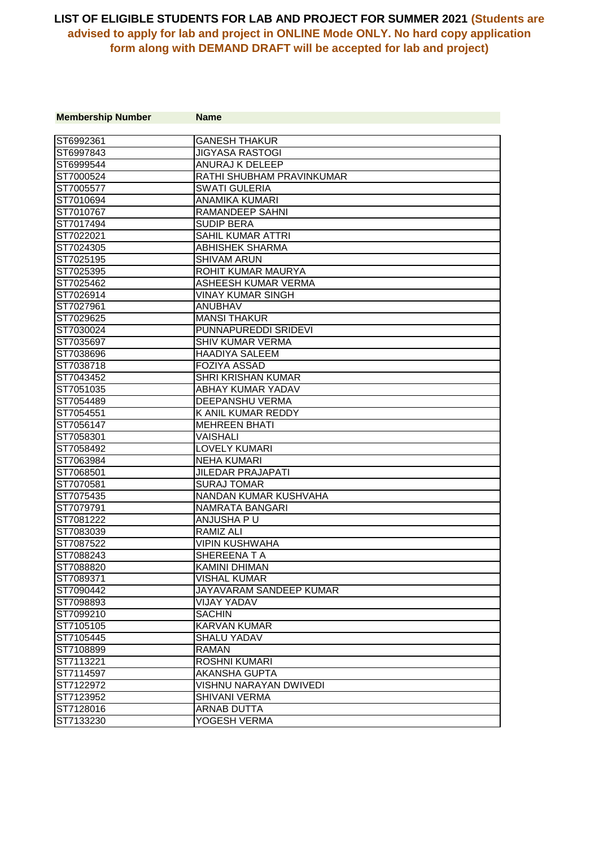| <b>Membership Number</b> | <b>Name</b>                   |
|--------------------------|-------------------------------|
|                          |                               |
| ST6992361                | <b>GANESH THAKUR</b>          |
| ST6997843                | <b>JIGYASA RASTOGI</b>        |
| ST6999544                | ANURAJ K DELEEP               |
| ST7000524                | RATHI SHUBHAM PRAVINKUMAR     |
| ST7005577                | <b>SWATI GULERIA</b>          |
| IST7010694               | ANAMIKA KUMARI                |
| ST7010767                | RAMANDEEP SAHNI               |
| ST7017494                | <b>SUDIP BERA</b>             |
| ST7022021                | <b>SAHIL KUMAR ATTRI</b>      |
| ST7024305                | <b>ABHISHEK SHARMA</b>        |
| ST7025195                | <b>SHIVAM ARUN</b>            |
| ST7025395                | ROHIT KUMAR MAURYA            |
| ST7025462                | ASHEESH KUMAR VERMA           |
| ST7026914                | <b>VINAY KUMAR SINGH</b>      |
| ST7027961                | <b>ANUBHAV</b>                |
| ST7029625                | <b>MANSI THAKUR</b>           |
| ST7030024                | PUNNAPUREDDI SRIDEVI          |
| ST7035697                | SHIV KUMAR VERMA              |
| ST7038696                | <b>HAADIYA SALEEM</b>         |
| ST7038718                | <b>FOZIYA ASSAD</b>           |
| ST7043452                | <b>SHRI KRISHAN KUMAR</b>     |
| ST7051035                | ABHAY KUMAR YADAV             |
| ST7054489                | <b>DEEPANSHU VERMA</b>        |
| ST7054551                | K ANIL KUMAR REDDY            |
| ST7056147                | <b>MEHREEN BHATI</b>          |
| ST7058301                | <b>VAISHALI</b>               |
| ST7058492                | <b>LOVELY KUMARI</b>          |
| ST7063984                | <b>NEHA KUMARI</b>            |
| ST7068501                | <b>JILEDAR PRAJAPATI</b>      |
| ST7070581                | <b>SURAJ TOMAR</b>            |
| ST7075435                | NANDAN KUMAR KUSHVAHA         |
| ST7079791                | NAMRATA BANGARI               |
| ST7081222                | ANJUSHA PU                    |
| ST7083039                | <b>RAMIZ ALI</b>              |
| ST7087522                | <b>VIPIN KUSHWAHA</b>         |
| ST7088243                | SHEREENATA                    |
| ST7088820                | <b>KAMINI DHIMAN</b>          |
| ST7089371                | <b>VISHAL KUMAR</b>           |
| ST7090442                | JAYAVARAM SANDEEP KUMAR       |
| ST7098893                | <b>VIJAY YADAV</b>            |
| ST7099210                | <b>SACHIN</b>                 |
| ST7105105                | <b>KARVAN KUMAR</b>           |
| ST7105445                | <b>SHALU YADAV</b>            |
| ST7108899                | RAMAN.                        |
| ST7113221                | <b>ROSHNI KUMARI</b>          |
| ST7114597                | <b>AKANSHA GUPTA</b>          |
| ST7122972                | <b>VISHNU NARAYAN DWIVEDI</b> |
| ST7123952                | <b>SHIVANI VERMA</b>          |
| ST7128016                | <b>ARNAB DUTTA</b>            |
| ST7133230                | YOGESH VERMA                  |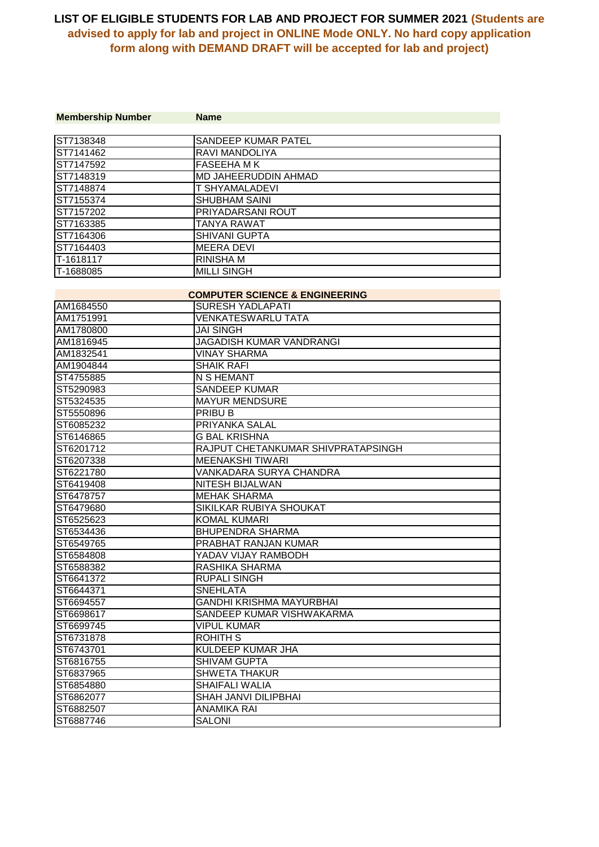| <b>Membership Number</b> | <b>Name</b>                               |
|--------------------------|-------------------------------------------|
|                          |                                           |
| ST7138348                | SANDEEP KUMAR PATEL                       |
| ST7141462                | RAVI MANDOLIYA                            |
| ST7147592                | <b>FASEEHA MK</b>                         |
| ST7148319                | MD JAHEERUDDIN AHMAD                      |
| ST7148874                | T SHYAMALADEVI                            |
| ST7155374                | <b>SHUBHAM SAINI</b>                      |
| ST7157202                | PRIYADARSANI ROUT                         |
| ST7163385                | TANYA RAWAT                               |
| ST7164306                | SHIVANI GUPTA                             |
| ST7164403                | <b>MEERA DEVI</b>                         |
| T-1618117                | <b>RINISHA M</b>                          |
| T-1688085                | <b>MILLI SINGH</b>                        |
|                          |                                           |
|                          | <b>COMPUTER SCIENCE &amp; ENGINEERING</b> |
| AM1684550                | SURESH YADLAPATI                          |
| AM1751991                | VENKATESWARLU TATA                        |
| AM1780800                | JAI SINGH                                 |
| AM1816945                | JAGADISH KUMAR VANDRANGI                  |
| AM1832541                | <b>VINAY SHARMA</b>                       |
| AM1904844                | <b>SHAIK RAFI</b>                         |
| ST4755885                | N S HEMANT                                |
| ST5290983                | <b>SANDEEP KUMAR</b>                      |
| ST5324535                | <b>MAYUR MENDSURE</b>                     |
| ST5550896                | PRIBU B                                   |
| ST6085232                | PRIYANKA SALAL                            |
| ST6146865                | <b>G BAL KRISHNA</b>                      |
| ST6201712                | RAJPUT CHETANKUMAR SHIVPRATAPSINGH        |
| ST6207338                | <b>MEENAKSHI TIWARI</b>                   |
| ST6221780                | VANKADARA SURYA CHANDRA                   |
| ST6419408                | NITESH BIJALWAN                           |
| ST6478757                | <b>MEHAK SHARMA</b>                       |
| ST6479680                | SIKILKAR RUBIYA SHOUKAT                   |
| ST6525623                | <b>KOMAL KUMARI</b>                       |
| ST6534436                | <b>BHUPENDRA SHARMA</b>                   |
| ST6549765                | PRABHAT RANJAN KUMAR                      |
| ST6584808                | YADAV VIJAY RAMBODH                       |
| ST6588382                | RASHIKA SHARMA                            |
| ST6641372                | RUPALI SINGH                              |
| ST6644371                | <b>SNEHLATA</b>                           |
| ST6694557                | GANDHI KRISHMA MAYURBHAI                  |
| ST6698617                | SANDEEP KUMAR VISHWAKARMA                 |
| ST6699745                | VIPUL KUMAR                               |
| ST6731878                | ROHITH S                                  |
| ST6743701                | KULDEEP KUMAR JHA                         |
| ST6816755                | SHIVAM GUPTA                              |
| ST6837965                | <b>SHWETA THAKUR</b>                      |
| ST6854880                | <b>SHAIFALI WALIA</b>                     |
| ST6862077                | SHAH JANVI DILIPBHAI                      |
| ST6882507                | <b>ANAMIKA RAI</b>                        |
| ST6887746                | SALONI                                    |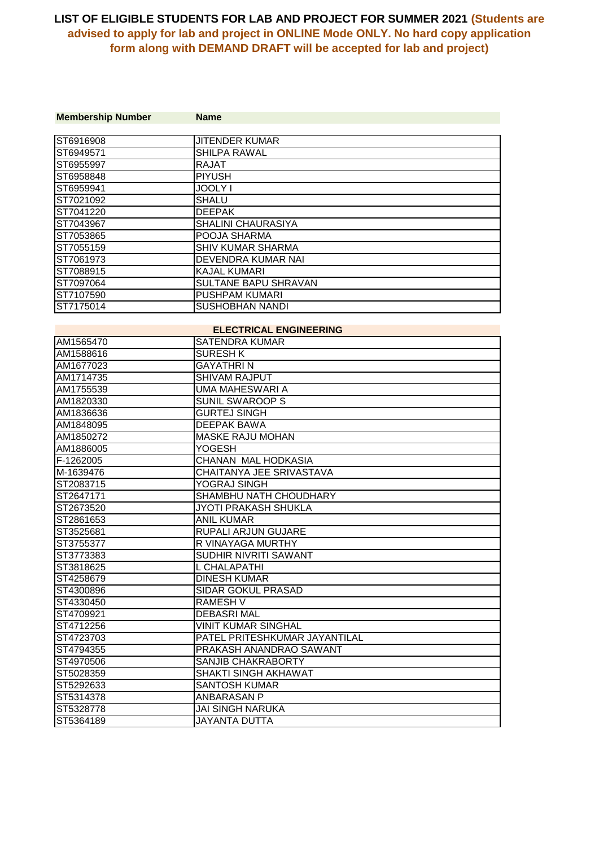| <b>Membership Number</b> | <b>Name</b>                   |  |
|--------------------------|-------------------------------|--|
|                          |                               |  |
| ST6916908                | <b>JITENDER KUMAR</b>         |  |
| ST6949571                | <b>SHILPA RAWAL</b>           |  |
| ST6955997                | <b>RAJAT</b>                  |  |
| ST6958848                | <b>PIYUSH</b>                 |  |
| ST6959941                | <b>JOOLY I</b>                |  |
| ST7021092                | <b>SHALU</b>                  |  |
| ST7041220                | <b>DEEPAK</b>                 |  |
| ST7043967                | <b>SHALINI CHAURASIYA</b>     |  |
| ST7053865                | POOJA SHARMA                  |  |
| ST7055159                | SHIV KUMAR SHARMA             |  |
| ST7061973                | <b>DEVENDRA KUMAR NAI</b>     |  |
| ST7088915                | KAJAL KUMARI                  |  |
| ST7097064                | SULTANE BAPU SHRAVAN          |  |
| ST7107590                | PUSHPAM KUMARI                |  |
| ST7175014                | <b>SUSHOBHAN NANDI</b>        |  |
|                          |                               |  |
|                          | <b>ELECTRICAL ENGINEERING</b> |  |
| AM1565470                | <b>SATENDRA KUMAR</b>         |  |
| AM1588616                | <b>SURESH K</b>               |  |
| AM1677023                | <b>GAYATHRIN</b>              |  |
| AM1714735                | <b>SHIVAM RAJPUT</b>          |  |
| AM1755539                | <b>UMA MAHESWARI A</b>        |  |
| AM1820330                | <b>SUNIL SWAROOP S</b>        |  |
| AM1836636                | <b>GURTEJ SINGH</b>           |  |
| AM1848095                | <b>DEEPAK BAWA</b>            |  |
| AM1850272                | <b>MASKE RAJU MOHAN</b>       |  |
| AM1886005                | <b>YOGESH</b>                 |  |
| F-1262005                | CHANAN MAL HODKASIA           |  |
| M-1639476                | CHAITANYA JEE SRIVASTAVA      |  |
| ST2083715                | YOGRAJ SINGH                  |  |
| ST2647171                | SHAMBHU NATH CHOUDHARY        |  |
| ST2673520                | JYOTI PRAKASH SHUKLA          |  |
| ST2861653                | <b>ANIL KUMAR</b>             |  |
| ST3525681                | RUPALI ARJUN GUJARE           |  |
| ST3755377                | R VINAYAGA MURTHY             |  |
| ST3773383                | SUDHIR NIVRITI SAWANT         |  |
| ST3818625                | L CHALAPATHI                  |  |
| ST4258679                | <b>DINESH KUMAR</b>           |  |
| ST4300896                | SIDAR GOKUL PRASAD            |  |
| ST4330450                | <b>RAMESH V</b>               |  |
| ST4709921                | <b>DEBASRI MAL</b>            |  |
| ST4712256                | VINIT KUMAR SINGHAL           |  |
| ST4723703                | PATEL PRITESHKUMAR JAYANTILAL |  |
| ST4794355                | PRAKASH ANANDRAO SAWANT       |  |
| ST4970506                | SANJIB CHAKRABORTY            |  |
| ST5028359                | <b>SHAKTI SINGH AKHAWAT</b>   |  |
| ST5292633                | <b>SANTOSH KUMAR</b>          |  |
| ST5314378                | <b>ANBARASAN P</b>            |  |
| ST5328778                | JAI SINGH NARUKA              |  |
| ST5364189                | <b>JAYANTA DUTTA</b>          |  |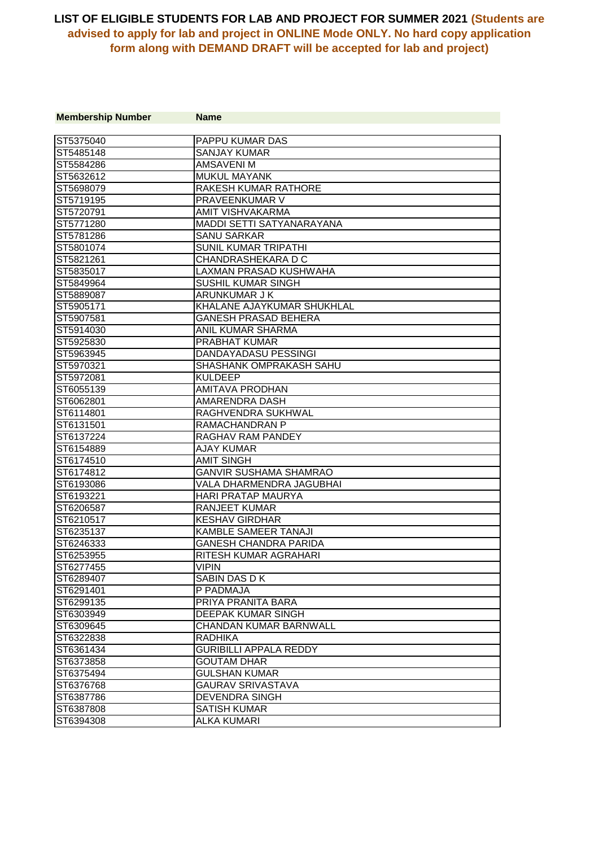| <b>Membership Number</b> | <b>Name</b>                    |
|--------------------------|--------------------------------|
|                          |                                |
| ST5375040                | <b>PAPPU KUMAR DAS</b>         |
| ST5485148                | <b>SANJAY KUMAR</b>            |
| ST5584286                | <b>AMSAVENIM</b>               |
| ST5632612                | <b>MUKUL MAYANK</b>            |
| ST5698079                | RAKESH KUMAR RATHORE           |
| IST5719195               | <b>PRAVEENKUMAR V</b>          |
| ST5720791                | AMIT VISHVAKARMA               |
| ST5771280                | MADDI SETTI SATYANARAYANA      |
| ST5781286                | <b>SANU SARKAR</b>             |
| ST5801074                | <b>SUNIL KUMAR TRIPATHI</b>    |
| ST5821261                | CHANDRASHEKARA D C             |
| ST5835017                | LAXMAN PRASAD KUSHWAHA         |
| ST5849964                | SUSHIL KUMAR SINGH             |
| ST5889087                | ARUNKUMAR J K                  |
| ST5905171                | KHALANE AJAYKUMAR SHUKHLAL     |
| ST5907581                | <b>GANESH PRASAD BEHERA</b>    |
| ST5914030                | ANIL KUMAR SHARMA              |
| ST5925830                | <b>PRABHAT KUMAR</b>           |
| ST5963945                | DANDAYADASU PESSINGI           |
| ST5970321                | <b>SHASHANK OMPRAKASH SAHU</b> |
| ST5972081                | <b>KULDEEP</b>                 |
| ST6055139                | <b>AMITAVA PRODHAN</b>         |
| ST6062801                | AMARENDRA DASH                 |
| ST6114801                | RAGHVENDRA SUKHWAL             |
| ST6131501                | RAMACHANDRAN P                 |
| ST6137224                | <b>RAGHAV RAM PANDEY</b>       |
| IST6154889               | <b>AJAY KUMAR</b>              |
| ST6174510                | <b>AMIT SINGH</b>              |
| ST6174812                | <b>GANVIR SUSHAMA SHAMRAO</b>  |
| ST6193086                | VALA DHARMENDRA JAGUBHAI       |
| ST6193221                | <b>HARI PRATAP MAURYA</b>      |
| ST6206587                | <b>RANJEET KUMAR</b>           |
| ST6210517                | <b>KESHAV GIRDHAR</b>          |
| ST6235137                | KAMBLE SAMEER TANAJI           |
| ST6246333                | <b>GANESH CHANDRA PARIDA</b>   |
| ST6253955                | RITESH KUMAR AGRAHARI          |
| ST6277455                | <b>VIPIN</b>                   |
| ST6289407                | SABIN DAS D K                  |
| ST6291401                | P PADMAJA                      |
| ST6299135                | PRIYA PRANITA BARA             |
| ST6303949                | DEEPAK KUMAR SINGH             |
| ST6309645                | <b>CHANDAN KUMAR BARNWALL</b>  |
| ST6322838                | <b>RADHIKA</b>                 |
| ST6361434                | <b>GURIBILLI APPALA REDDY</b>  |
| ST6373858                | GOUTAM DHAR                    |
| ST6375494                | <b>GULSHAN KUMAR</b>           |
| ST6376768                | <b>GAURAV SRIVASTAVA</b>       |
| ST6387786                | <b>DEVENDRA SINGH</b>          |
| ST6387808                | <b>SATISH KUMAR</b>            |
| ST6394308                | <b>ALKA KUMARI</b>             |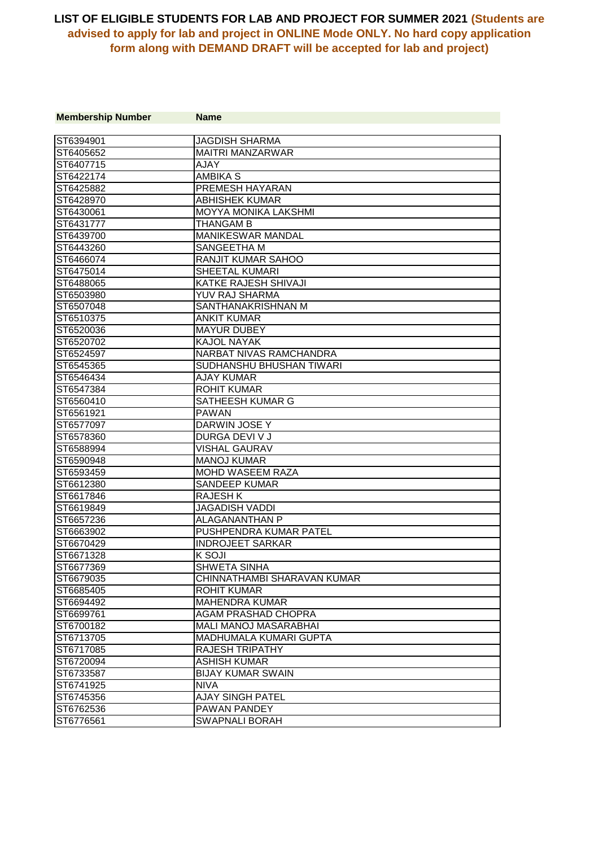| <b>Membership Number</b> | <b>Name</b>                  |
|--------------------------|------------------------------|
|                          |                              |
| ST6394901                | <b>JAGDISH SHARMA</b>        |
| ST6405652                | <b>MAITRI MANZARWAR</b>      |
| ST6407715                | <b>AJAY</b>                  |
| ST6422174                | <b>AMBIKA S</b>              |
| ST6425882                | PREMESH HAYARAN              |
| ST6428970                | <b>ABHISHEK KUMAR</b>        |
| ST6430061                | <b>MOYYA MONIKA LAKSHMI</b>  |
| ST6431777                | <b>THANGAM B</b>             |
| ST6439700                | <b>MANIKESWAR MANDAL</b>     |
| ST6443260                | SANGEETHA M                  |
| ST6466074                | RANJIT KUMAR SAHOO           |
| ST6475014                | SHEETAL KUMARI               |
| ST6488065                | KATKE RAJESH SHIVAJI         |
| ST6503980                | YUV RAJ SHARMA               |
| ST6507048                | SANTHANAKRISHNAN M           |
| ST6510375                | <b>ANKIT KUMAR</b>           |
| ST6520036                | <b>MAYUR DUBEY</b>           |
| ST6520702                | <b>KAJOL NAYAK</b>           |
| ST6524597                | NARBAT NIVAS RAMCHANDRA      |
| ST6545365                | SUDHANSHU BHUSHAN TIWARI     |
| ST6546434                | <b>AJAY KUMAR</b>            |
| ST6547384                | <b>ROHIT KUMAR</b>           |
| ST6560410                | SATHEESH KUMAR G             |
| ST6561921                | <b>PAWAN</b>                 |
| ST6577097                | <b>DARWIN JOSE Y</b>         |
| ST6578360                | DURGA DEVI V J               |
| ST6588994                | <b>VISHAL GAURAV</b>         |
| ST6590948                | <b>MANOJ KUMAR</b>           |
| ST6593459                | MOHD WASEEM RAZA             |
| ST6612380                | <b>SANDEEP KUMAR</b>         |
| ST6617846                | <b>RAJESH K</b>              |
| ST6619849                | JAGADISH VADDI               |
| ST6657236                | ALAGANANTHAN P               |
| ST6663902                | PUSHPENDRA KUMAR PATEL       |
| ST6670429                | <b>INDROJEET SARKAR</b>      |
| ST6671328                | <b>K SOJI</b>                |
| ST6677369                | <b>SHWETA SINHA</b>          |
| IST6679035               | CHINNATHAMBI SHARAVAN KUMAR  |
| ST6685405                | <b>ROHIT KUMAR</b>           |
| ST6694492                | <b>MAHENDRA KUMAR</b>        |
| ST6699761                | <b>AGAM PRASHAD CHOPRA</b>   |
| ST6700182                | <b>MALI MANOJ MASARABHAI</b> |
| ST6713705                | MADHUMALA KUMARI GUPTA       |
| ST6717085                | <b>RAJESH TRIPATHY</b>       |
| ST6720094                | <b>ASHISH KUMAR</b>          |
| ST6733587                | <b>BIJAY KUMAR SWAIN</b>     |
| ST6741925                | <b>NIVA</b>                  |
| ST6745356                | <b>AJAY SINGH PATEL</b>      |
| ST6762536                | PAWAN PANDEY                 |
| ST6776561                | <b>SWAPNALI BORAH</b>        |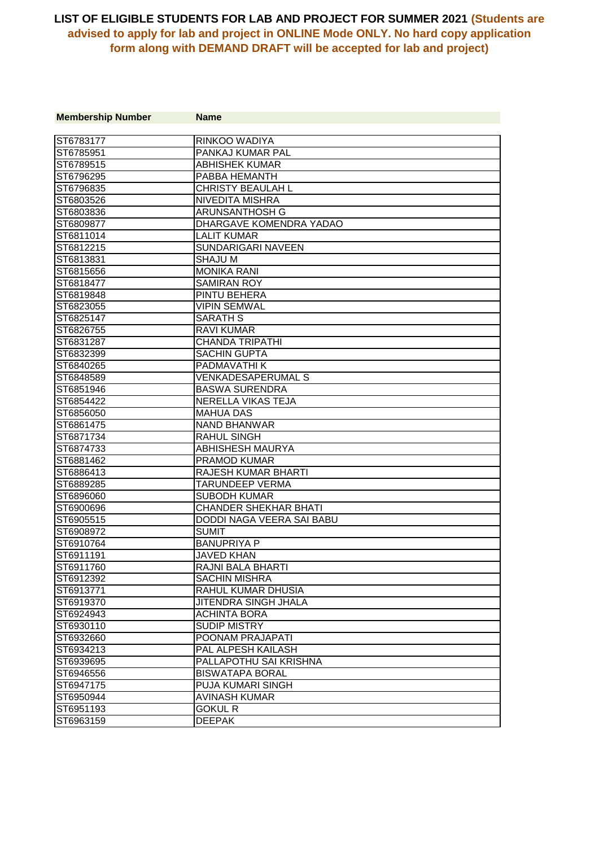| <b>Membership Number</b> | <b>Name</b>                    |
|--------------------------|--------------------------------|
|                          |                                |
| ST6783177                | RINKOO WADIYA                  |
| ST6785951                | PANKAJ KUMAR PAL               |
| ST6789515                | <b>ABHISHEK KUMAR</b>          |
| ST6796295                | PABBA HEMANTH                  |
| ST6796835                | <b>CHRISTY BEAULAH L</b>       |
| ST6803526                | NIVEDITA MISHRA                |
| ST6803836                | ARUNSANTHOSH G                 |
| ST6809877                | <b>DHARGAVE KOMENDRA YADAO</b> |
| ST6811014                | <b>LALIT KUMAR</b>             |
| ST6812215                | SUNDARIGARI NAVEEN             |
| ST6813831                | <b>SHAJU M</b>                 |
| ST6815656                | <b>MONIKA RANI</b>             |
| ST6818477                | <b>SAMIRAN ROY</b>             |
| ST6819848                | PINTU BEHERA                   |
| ST6823055                | <b>VIPIN SEMWAL</b>            |
| ST6825147                | <b>SARATH S</b>                |
| ST6826755                | <b>RAVI KUMAR</b>              |
| ST6831287                | <b>CHANDA TRIPATHI</b>         |
| ST6832399                | <b>SACHIN GUPTA</b>            |
| ST6840265                | PADMAVATHI K                   |
| ST6848589                | <b>VENKADESAPERUMAL S</b>      |
| ST6851946                | <b>BASWA SURENDRA</b>          |
| ST6854422                | NERELLA VIKAS TEJA             |
| ST6856050                | <b>MAHUA DAS</b>               |
| ST6861475                | <b>NAND BHANWAR</b>            |
| ST6871734                | <b>RAHUL SINGH</b>             |
| ST6874733                | <b>ABHISHESH MAURYA</b>        |
| ST6881462                | <b>PRAMOD KUMAR</b>            |
| ST6886413                | RAJESH KUMAR BHARTI            |
| ST6889285                | <b>TARUNDEEP VERMA</b>         |
| ST6896060                | <b>SUBODH KUMAR</b>            |
| ST6900696                | <b>CHANDER SHEKHAR BHATI</b>   |
| ST6905515                | DODDI NAGA VEERA SAI BABU      |
| ST6908972                | <b>SUMIT</b>                   |
| ST6910764                | <b>BANUPRIYA P</b>             |
| ST6911191                | <b>JAVED KHAN</b>              |
| ST6911760                | RAJNI BALA BHARTI              |
| ST6912392                | <b>SACHIN MISHRA</b>           |
| ST6913771                | RAHUL KUMAR DHUSIA             |
| ST6919370                | <b>JITENDRA SINGH JHALA</b>    |
| ST6924943                | <b>ACHINTA BORA</b>            |
| ST6930110                | <b>SUDIP MISTRY</b>            |
| ST6932660                | POONAM PRAJAPATI               |
| ST6934213                | PAL ALPESH KAILASH             |
| ST6939695                | <b>PALLAPOTHU SAI KRISHNA</b>  |
| ST6946556                | <b>BISWATAPA BORAL</b>         |
| ST6947175                | PUJA KUMARI SINGH              |
| ST6950944                | <b>AVINASH KUMAR</b>           |
| ST6951193                | <b>GOKUL R</b>                 |
| ST6963159                | <b>DEEPAK</b>                  |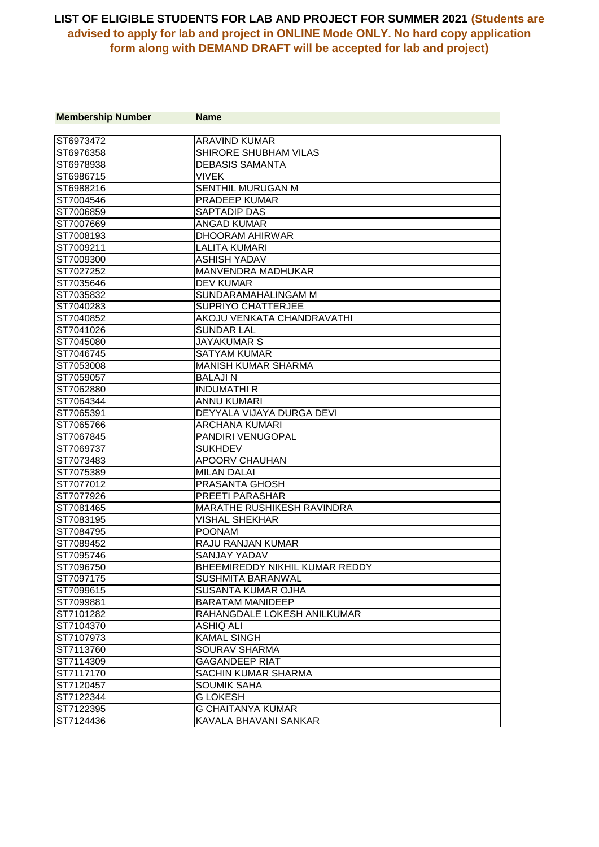| <b>Membership Number</b> | <b>Name</b>                       |
|--------------------------|-----------------------------------|
|                          |                                   |
| ST6973472                | <b>ARAVIND KUMAR</b>              |
| ST6976358                | SHIRORE SHUBHAM VILAS             |
| ST6978938                | <b>DEBASIS SAMANTA</b>            |
| ST6986715                | <b>VIVEK</b>                      |
| ST6988216                | SENTHIL MURUGAN M                 |
| ST7004546                | <b>PRADEEP KUMAR</b>              |
| ST7006859                | SAPTADIP DAS                      |
| ST7007669                | <b>ANGAD KUMAR</b>                |
| ST7008193                | DHOORAM AHIRWAR                   |
| ST7009211                | <b>LALITA KUMARI</b>              |
| ST7009300                | <b>ASHISH YADAV</b>               |
| ST7027252                | MANVENDRA MADHUKAR                |
| ST7035646                | <b>DEV KUMAR</b>                  |
| ST7035832                | SUNDARAMAHALINGAM M               |
| ST7040283                | <b>SUPRIYO CHATTERJEE</b>         |
| ST7040852                | AKOJU VENKATA CHANDRAVATHI        |
| ST7041026                | <b>SUNDAR LAL</b>                 |
| ST7045080                | <b>JAYAKUMAR S</b>                |
| ST7046745                | <b>SATYAM KUMAR</b>               |
| ST7053008                | <b>MANISH KUMAR SHARMA</b>        |
| ST7059057                | <b>BALAJIN</b>                    |
| ST7062880                | <b>INDUMATHIR</b>                 |
| ST7064344                | <b>ANNU KUMARI</b>                |
| ST7065391                | DEYYALA VIJAYA DURGA DEVI         |
| ST7065766                | <b>ARCHANA KUMARI</b>             |
| ST7067845                | PANDIRI VENUGOPAL                 |
| ST7069737                | <b>SUKHDEV</b>                    |
| ST7073483                | APOORV CHAUHAN                    |
| ST7075389                | <b>MILAN DALAI</b>                |
| ST7077012                | PRASANTA GHOSH                    |
| ST7077926                | PREETI PARASHAR                   |
| ST7081465                | <b>MARATHE RUSHIKESH RAVINDRA</b> |
| ST7083195                | <b>VISHAL SHEKHAR</b>             |
| ST7084795                | <b>POONAM</b>                     |
| ST7089452                | <b>RAJU RANJAN KUMAR</b>          |
| ST7095746                | <b>SANJAY YADAV</b>               |
| ST7096750                | BHEEMIREDDY NIKHIL KUMAR REDDY    |
| ST7097175                | <b>SUSHMITA BARANWAL</b>          |
| ST7099615                | SUSANTA KUMAR OJHA                |
| ST7099881                | <b>BARATAM MANIDEEP</b>           |
| ST7101282                | RAHANGDALE LOKESH ANILKUMAR       |
| ST7104370                | <b>ASHIQ ALI</b>                  |
| ST7107973                | <b>KAMAL SINGH</b>                |
| ST7113760                | <b>SOURAV SHARMA</b>              |
| ST7114309                | <b>GAGANDEEP RIAT</b>             |
| ST7117170                | SACHIN KUMAR SHARMA               |
| ST7120457                | <b>SOUMIK SAHA</b>                |
| ST7122344                | <b>GLOKESH</b>                    |
| ST7122395                | <b>G CHAITANYA KUMAR</b>          |
| ST7124436                | KAVALA BHAVANI SANKAR             |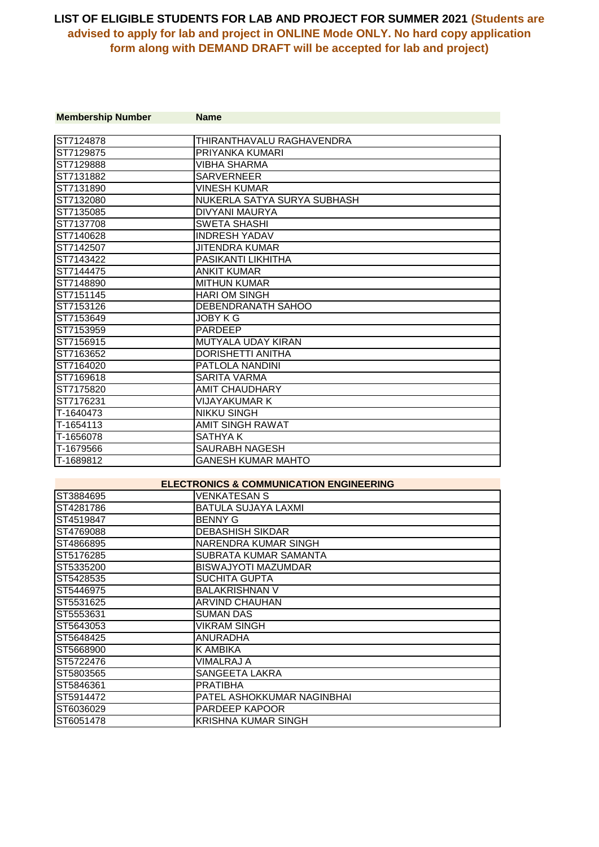| <b>Membership Number</b> | <b>Name</b>                 |
|--------------------------|-----------------------------|
| ST7124878                | THIRANTHAVALU RAGHAVENDRA   |
| ST7129875                | PRIYANKA KUMARI             |
| ST7129888                | VIBHA SHARMA                |
| ST7131882                | <b>SARVERNEER</b>           |
| ST7131890                | VINESH KUMAR                |
| ST7132080                | NUKERLA SATYA SURYA SUBHASH |
| ST7135085                | DIVYANI MAURYA              |
| ST7137708                | <b>SWETA SHASHI</b>         |
| ST7140628                | <b>INDRESH YADAV</b>        |
| ST7142507                | JITENDRA KUMAR              |
| ST7143422                | PASIKANTI LIKHITHA          |
| ST7144475                | <b>ANKIT KUMAR</b>          |
| ST7148890                | <b>MITHUN KUMAR</b>         |
| ST7151145                | <b>HARI OM SINGH</b>        |
| ST7153126                | DEBENDRANATH SAHOO          |
| IST7153649               | JOBY K G                    |
| ST7153959                | <b>PARDEEP</b>              |
| ST7156915                | MUTYALA UDAY KIRAN          |
| ST7163652                | <b>DORISHETTI ANITHA</b>    |
| ST7164020                | <b>PATLOLA NANDINI</b>      |
| ST7169618                | SARITA VARMA                |
| ST7175820                | <b>AMIT CHAUDHARY</b>       |
| ST7176231                | VIJAYAKUMAR K               |
| T-1640473                | <b>NIKKU SINGH</b>          |
| T-1654113                | AMIT SINGH RAWAT            |
| T-1656078                | SATHYA K                    |
| T-1679566                | SAURABH NAGESH              |
| T-1689812                | GANESH KUMAR MAHTO          |

#### **ELECTRONICS & COMMUNICATION ENGINEERING**

| ST3884695 | <b>VENKATESAN S</b>        |
|-----------|----------------------------|
| ST4281786 | BATULA SUJAYA LAXMI        |
| ST4519847 | <b>BENNY G</b>             |
| ST4769088 | <b>DEBASHISH SIKDAR</b>    |
| ST4866895 | NARENDRA KUMAR SINGH       |
| ST5176285 | SUBRATA KUMAR SAMANTA      |
| ST5335200 | <b>BISWAJYOTI MAZUMDAR</b> |
| ST5428535 | <b>SUCHITA GUPTA</b>       |
| ST5446975 | <b>BALAKRISHNAN V</b>      |
| ST5531625 | ARVIND CHAUHAN             |
| ST5553631 | <b>SUMAN DAS</b>           |
| ST5643053 | <b>VIKRAM SINGH</b>        |
| ST5648425 | <b>ANURADHA</b>            |
| ST5668900 | K AMBIKA                   |
| ST5722476 | VIMALRAJ A                 |
| ST5803565 | SANGEETA LAKRA             |
| ST5846361 | <b>PRATIBHA</b>            |
| ST5914472 | PATEL ASHOKKUMAR NAGINBHAI |
| ST6036029 | <b>PARDEEP KAPOOR</b>      |
| ST6051478 | <b>KRISHNA KUMAR SINGH</b> |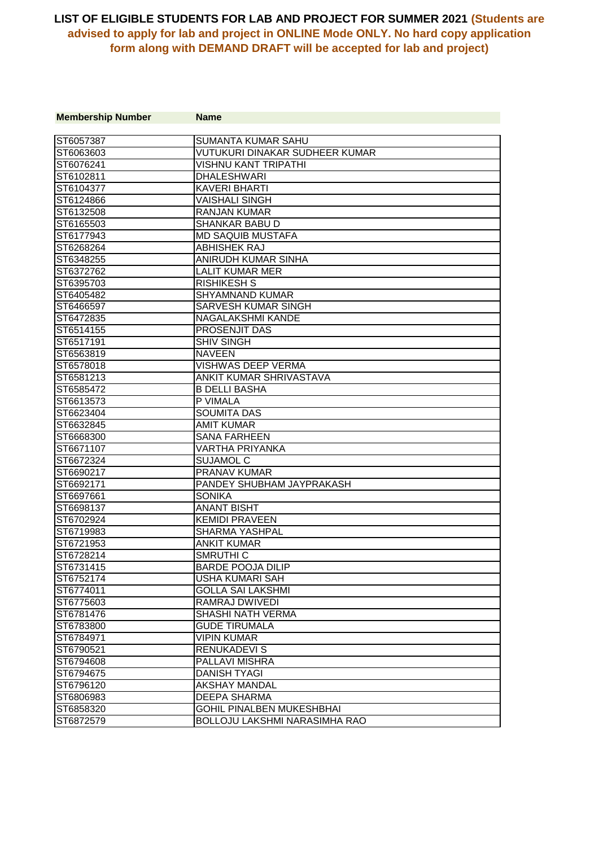| <b>Membership Number</b> | <b>Name</b>                          |
|--------------------------|--------------------------------------|
|                          |                                      |
| ST6057387                | <b>SUMANTA KUMAR SAHU</b>            |
| ST6063603                | VUTUKURI DINAKAR SUDHEER KUMAR       |
| ST6076241                | <b>VISHNU KANT TRIPATHI</b>          |
| ST6102811                | <b>DHALESHWARI</b>                   |
| ST6104377                | <b>KAVERI BHARTI</b>                 |
| ST6124866                | <b>VAISHALI SINGH</b>                |
| ST6132508                | <b>RANJAN KUMAR</b>                  |
| ST6165503                | <b>SHANKAR BABU D</b>                |
| ST6177943                | <b>MD SAQUIB MUSTAFA</b>             |
| ST6268264                | <b>ABHISHEK RAJ</b>                  |
| ST6348255                | ANIRUDH KUMAR SINHA                  |
| ST6372762                | <b>LALIT KUMAR MER</b>               |
| ST6395703                | <b>RISHIKESH S</b>                   |
| ST6405482                | <b>SHYAMNAND KUMAR</b>               |
| ST6466597                | <b>SARVESH KUMAR SINGH</b>           |
| ST6472835                | NAGALAKSHMI KANDE                    |
| ST6514155                | PROSENJIT DAS                        |
| ST6517191                | <b>SHIV SINGH</b>                    |
| ST6563819                | <b>NAVEEN</b>                        |
| ST6578018                | <b>VISHWAS DEEP VERMA</b>            |
| ST6581213                | ANKIT KUMAR SHRIVASTAVA              |
| ST6585472                | <b>B DELLI BASHA</b>                 |
| ST6613573                | P VIMALA                             |
| ST6623404                | <b>SOUMITA DAS</b>                   |
| ST6632845                | <b>AMIT KUMAR</b>                    |
| ST6668300                | <b>SANA FARHEEN</b>                  |
| ST6671107                | <b>VARTHA PRIYANKA</b>               |
| ST6672324                | <b>SUJAMOL C</b>                     |
| ST6690217                | <b>PRANAV KUMAR</b>                  |
| ST6692171                | PANDEY SHUBHAM JAYPRAKASH            |
| ST6697661                | <b>SONIKA</b>                        |
| ST6698137                | <b>ANANT BISHT</b>                   |
| ST6702924                | <b>KEMIDI PRAVEEN</b>                |
| ST6719983                | <b>SHARMA YASHPAL</b>                |
| ST6721953                | <b>ANKIT KUMAR</b>                   |
| ST6728214                | SMRUTHI <sub>C</sub>                 |
| ST6731415                | <b>BARDE POOJA DILIP</b>             |
| ST6752174                | USHA KUMARI SAH                      |
| ST6774011                | <b>GOLLA SAI LAKSHMI</b>             |
| ST6775603                | RAMRAJ DWIVEDI                       |
| ST6781476                | SHASHI NATH VERMA                    |
| ST6783800                | <b>GUDE TIRUMALA</b>                 |
| ST6784971                | <b>VIPIN KUMAR</b>                   |
| ST6790521                | <b>RENUKADEVI S</b>                  |
| ST6794608                | PALLAVI MISHRA                       |
| ST6794675                | <b>DANISH TYAGI</b>                  |
| ST6796120                | AKSHAY MANDAL                        |
| ST6806983                | <b>DEEPA SHARMA</b>                  |
| ST6858320                | <b>GOHIL PINALBEN MUKESHBHAI</b>     |
| ST6872579                | <b>BOLLOJU LAKSHMI NARASIMHA RAO</b> |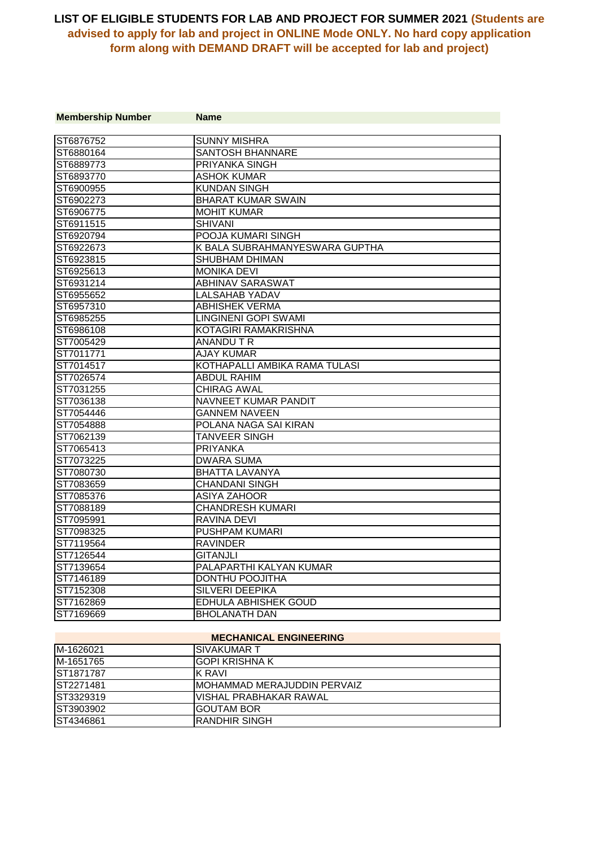| <b>Membership Number</b> | <b>Name</b>                    |
|--------------------------|--------------------------------|
| ST6876752                | <b>SUNNY MISHRA</b>            |
| ST6880164                | <b>SANTOSH BHANNARE</b>        |
| ST6889773                | <b>PRIYANKA SINGH</b>          |
| ST6893770                | <b>ASHOK KUMAR</b>             |
| ST6900955                | <b>KUNDAN SINGH</b>            |
| ST6902273                | <b>BHARAT KUMAR SWAIN</b>      |
| ST6906775                | <b>MOHIT KUMAR</b>             |
| ST6911515                | <b>SHIVANI</b>                 |
| ST6920794                | POOJA KUMARI SINGH             |
| ST6922673                | K BALA SUBRAHMANYESWARA GUPTHA |
| ST6923815                | <b>SHUBHAM DHIMAN</b>          |
| ST6925613                | <b>MONIKA DEVI</b>             |
| ST6931214                | <b>ABHINAV SARASWAT</b>        |
| ST6955652                | <b>LALSAHAB YADAV</b>          |
| ST6957310                | <b>ABHISHEK VERMA</b>          |
| ST6985255                | <b>LINGINENI GOPI SWAMI</b>    |
| ST6986108                | <b>KOTAGIRI RAMAKRISHNA</b>    |
| ST7005429                | ANANDU T R                     |
| ST7011771                | <b>AJAY KUMAR</b>              |
| ST7014517                | KOTHAPALLI AMBIKA RAMA TULASI  |
| ST7026574                | <b>ABDUL RAHIM</b>             |
| ST7031255                | <b>CHIRAG AWAL</b>             |
| ST7036138                | NAVNEET KUMAR PANDIT           |
| ST7054446                | <b>GANNEM NAVEEN</b>           |
| ST7054888                | POLANA NAGA SAI KIRAN          |
| ST7062139                | <b>TANVEER SINGH</b>           |
| ST7065413                | <b>PRIYANKA</b>                |
| ST7073225                | <b>DWARA SUMA</b>              |
| ST7080730                | <b>BHATTA LAVANYA</b>          |
| ST7083659                | <b>CHANDANI SINGH</b>          |
| ST7085376                | <b>ASIYA ZAHOOR</b>            |
| ST7088189                | <b>CHANDRESH KUMARI</b>        |
| ST7095991                | RAVINA DEVI                    |
| ST7098325                | <b>PUSHPAM KUMARI</b>          |
| ST7119564                | <b>RAVINDER</b>                |
| ST7126544                | <b>GITANJLI</b>                |
| ST7139654                | PALAPARTHI KALYAN KUMAR        |
| ST7146189                | DONTHU POOJITHA                |
| ST7152308                | <b>SILVERI DEEPIKA</b>         |
| ST7162869                | EDHULA ABHISHEK GOUD           |
| ST7169669                | <b>BHOLANATH DAN</b>           |

#### **MECHANICAL ENGINEERING**

| M-1626021 | ISIVAKUMAR T                 |
|-----------|------------------------------|
| M-1651765 | <b>GOPI KRISHNA K</b>        |
| ST1871787 | IK RAVI                      |
| ST2271481 | IMOHAMMAD MERAJUDDIN PERVAIZ |
| ST3329319 | IVISHAL PRABHAKAR RAWAL      |
| ST3903902 | IGOUTAM BOR                  |
| ST4346861 | IRANDHIR SINGH               |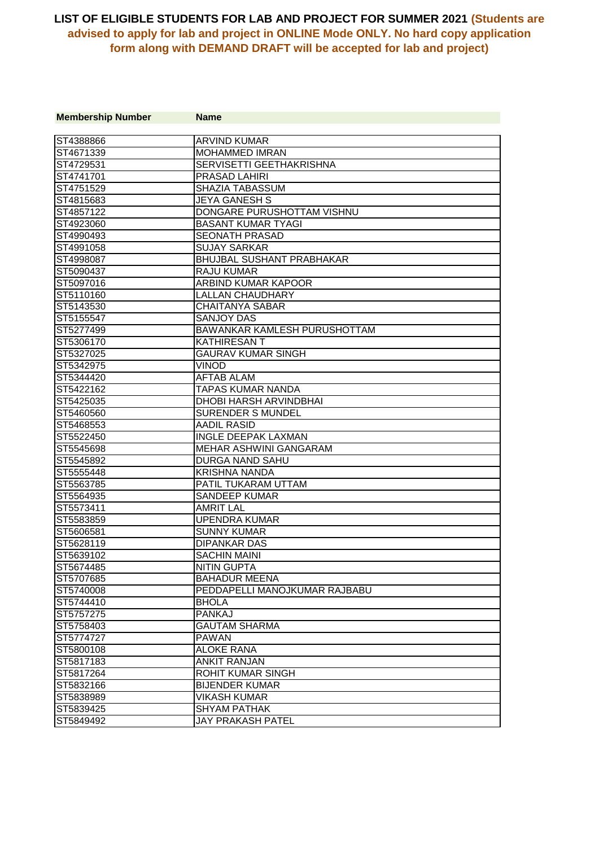| <b>Membership Number</b> | <b>Name</b>                      |
|--------------------------|----------------------------------|
| ST4388866                | <b>ARVIND KUMAR</b>              |
| ST4671339                | <b>MOHAMMED IMRAN</b>            |
| ST4729531                | SERVISETTI GEETHAKRISHNA         |
| ST4741701                | PRASAD LAHIRI                    |
| ST4751529                | SHAZIA TABASSUM                  |
| ST4815683                | <b>JEYA GANESH S</b>             |
| ST4857122                | DONGARE PURUSHOTTAM VISHNU       |
| ST4923060                | <b>BASANT KUMAR TYAGI</b>        |
| ST4990493                | <b>SEONATH PRASAD</b>            |
| ST4991058                | <b>SUJAY SARKAR</b>              |
| ST4998087                | <b>BHUJBAL SUSHANT PRABHAKAR</b> |
| ST5090437                | <b>RAJU KUMAR</b>                |
| ST5097016                | ARBIND KUMAR KAPOOR              |
| ST5110160                | <b>LALLAN CHAUDHARY</b>          |
| ST5143530                | <b>CHAITANYA SABAR</b>           |
| ST5155547                | <b>SANJOY DAS</b>                |
| ST5277499                | BAWANKAR KAMLESH PURUSHOTTAM     |
| ST5306170                | <b>KATHIRESANT</b>               |
| ST5327025                | <b>GAURAV KUMAR SINGH</b>        |
| ST5342975                | <b>VINOD</b>                     |
| ST5344420                | <b>AFTAB ALAM</b>                |
| ST5422162                | <b>TAPAS KUMAR NANDA</b>         |
| ST5425035                | <b>DHOBI HARSH ARVINDBHAI</b>    |
| ST5460560                | <b>SURENDER S MUNDEL</b>         |
| ST5468553                | <b>AADIL RASID</b>               |
| ST5522450                | <b>INGLE DEEPAK LAXMAN</b>       |
| ST5545698                | MEHAR ASHWINI GANGARAM           |
| ST5545892                | <b>DURGA NAND SAHU</b>           |
| ST5555448                | <b>KRISHNA NANDA</b>             |
| ST5563785                | PATIL TUKARAM UTTAM              |
| ST5564935                | <b>SANDEEP KUMAR</b>             |
| ST5573411                | <b>AMRIT LAL</b>                 |
| ST5583859                | UPENDRA KUMAR                    |
| ST5606581                | <b>SUNNY KUMAR</b>               |
| ST5628119                | <b>DIPANKAR DAS</b>              |
| ST5639102                | SACHIN MAINI                     |
| ST5674485                | <b>NITIN GUPTA</b>               |
| ST5707685                | <b>BAHADUR MEENA</b>             |
| ST5740008                | PEDDAPELLI MANOJKUMAR RAJBABU    |
| ST5744410                | <b>BHOLA</b>                     |
| ST5757275                | <b>PANKAJ</b>                    |
| ST5758403                | <b>GAUTAM SHARMA</b>             |
| ST5774727                | <b>PAWAN</b>                     |
| ST5800108                | <b>ALOKE RANA</b>                |
| ST5817183                | <b>ANKIT RANJAN</b>              |
| ST5817264                | <b>ROHIT KUMAR SINGH</b>         |
| ST5832166                | <b>BIJENDER KUMAR</b>            |
| ST5838989                | <b>VIKASH KUMAR</b>              |
| ST5839425                | <b>SHYAM PATHAK</b>              |
| ST5849492                | JAY PRAKASH PATEL                |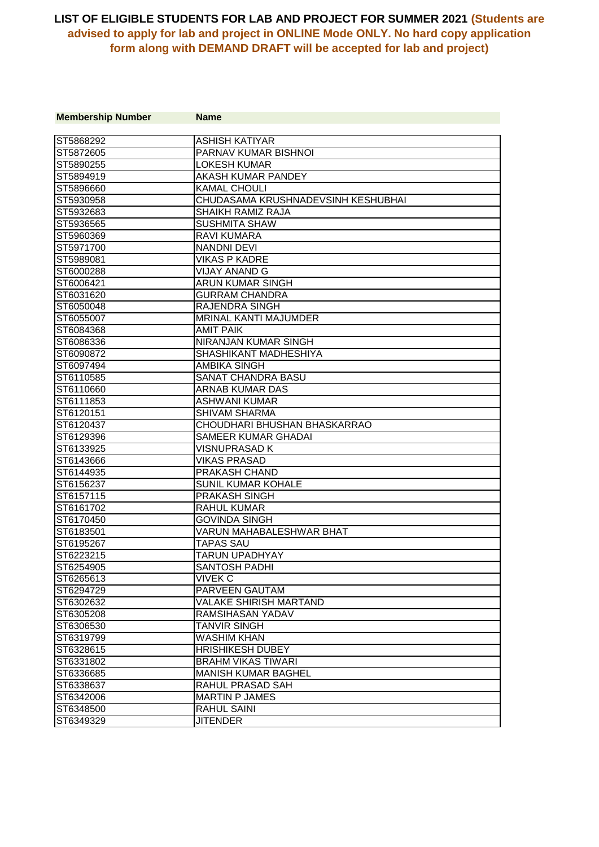| <b>Membership Number</b> | <b>Name</b>                        |
|--------------------------|------------------------------------|
|                          |                                    |
| ST5868292                | <b>ASHISH KATIYAR</b>              |
| ST5872605                | PARNAV KUMAR BISHNOI               |
| ST5890255                | <b>LOKESH KUMAR</b>                |
| ST5894919                | AKASH KUMAR PANDEY                 |
| ST5896660                | <b>KAMAL CHOULI</b>                |
| ST5930958                | CHUDASAMA KRUSHNADEVSINH KESHUBHAI |
| ST5932683                | SHAIKH RAMIZ RAJA                  |
| ST5936565                | <b>SUSHMITA SHAW</b>               |
| ST5960369                | RAVI KUMARA                        |
| ST5971700                | <b>NANDNI DEVI</b>                 |
| ST5989081                | <b>VIKAS P KADRE</b>               |
| ST6000288                | VIJAY ANAND G                      |
| ST6006421                | <b>ARUN KUMAR SINGH</b>            |
| ST6031620                | GURRAM CHANDRA                     |
| ST6050048                | <b>RAJENDRA SINGH</b>              |
| ST6055007                | MRINAL KANTI MAJUMDER              |
| ST6084368                | <b>AMIT PAIK</b>                   |
| ST6086336                | <b>NIRANJAN KUMAR SINGH</b>        |
| ST6090872                | SHASHIKANT MADHESHIYA              |
| ST6097494                | <b>AMBIKA SINGH</b>                |
| ST6110585                | <b>SANAT CHANDRA BASU</b>          |
| ST6110660                | <b>ARNAB KUMAR DAS</b>             |
| ST6111853                | <b>ASHWANI KUMAR</b>               |
| ST6120151                | <b>SHIVAM SHARMA</b>               |
| ST6120437                | CHOUDHARI BHUSHAN BHASKARRAO       |
| ST6129396                | <b>SAMEER KUMAR GHADAI</b>         |
| ST6133925                | <b>VISNUPRASAD K</b>               |
| ST6143666                | VIKAS PRASAD                       |
| ST6144935                | PRAKASH CHAND                      |
| ST6156237                | SUNIL KUMAR KOHALE                 |
| ST6157115                | <b>PRAKASH SINGH</b>               |
| ST6161702                | RAHUL KUMAR                        |
| ST6170450                | GOVINDA SINGH                      |
| ST6183501                | VARUN MAHABALESHWAR BHAT           |
| ST6195267                | <b>TAPAS SAU</b>                   |
| ST6223215                | TARUN UPADHYAY                     |
| ST6254905                | <b>SANTOSH PADHI</b>               |
| ST6265613                | VIVEK C                            |
| ST6294729                | PARVEEN GAUTAM                     |
| ST6302632                | VALAKE SHIRISH MARTAND             |
| ST6305208                | RAMSIHASAN YADAV                   |
| ST6306530                | TANVIR SINGH                       |
| ST6319799                | WASHIM KHAN                        |
| ST6328615                | <b>HRISHIKESH DUBEY</b>            |
| ST6331802                | <b>BRAHM VIKAS TIWARI</b>          |
| ST6336685                | <b>MANISH KUMAR BAGHEL</b>         |
| ST6338637                | <b>RAHUL PRASAD SAH</b>            |
| ST6342006                | <b>MARTIN P JAMES</b>              |
| ST6348500                | <b>RAHUL SAINI</b>                 |
| ST6349329                | <b>JITENDER</b>                    |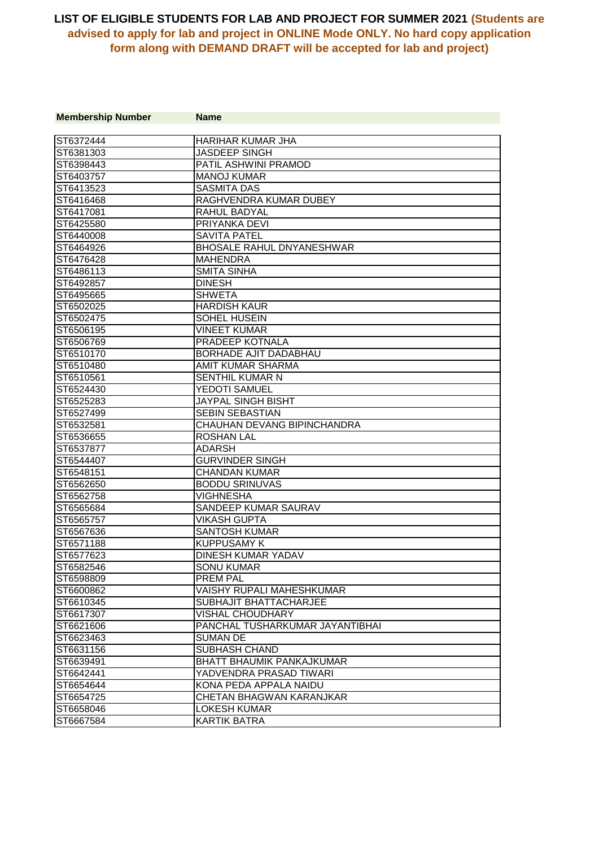| <b>Membership Number</b> | <b>Name</b>                      |
|--------------------------|----------------------------------|
|                          |                                  |
| ST6372444                | <b>HARIHAR KUMAR JHA</b>         |
| ST6381303                | <b>JASDEEP SINGH</b>             |
| ST6398443                | PATIL ASHWINI PRAMOD             |
| ST6403757                | <b>MANOJ KUMAR</b>               |
| ST6413523                | <b>SASMITA DAS</b>               |
| IST6416468               | RAGHVENDRA KUMAR DUBEY           |
| ST6417081                | RAHUL BADYAL                     |
| ST6425580                | PRIYANKA DEVI                    |
| ST6440008                | <b>SAVITA PATEL</b>              |
| ST6464926                | <b>BHOSALE RAHUL DNYANESHWAR</b> |
| ST6476428                | <b>MAHENDRA</b>                  |
| ST6486113                | <b>SMITA SINHA</b>               |
| ST6492857                | <b>DINESH</b>                    |
| ST6495665                | <b>SHWETA</b>                    |
| ST6502025                | <b>HARDISH KAUR</b>              |
| ST6502475                | SOHEL HUSEIN                     |
| ST6506195                | <b>VINEET KUMAR</b>              |
| ST6506769                | <b>PRADEEP KOTNALA</b>           |
| ST6510170                | BORHADE AJIT DADABHAU            |
| ST6510480                | <b>AMIT KUMAR SHARMA</b>         |
| ST6510561                | <b>SENTHIL KUMAR N</b>           |
| ST6524430                | YEDOTI SAMUEL                    |
| ST6525283                | <b>JAYPAL SINGH BISHT</b>        |
| ST6527499                | <b>SEBIN SEBASTIAN</b>           |
| ST6532581                | CHAUHAN DEVANG BIPINCHANDRA      |
| ST6536655                | <b>ROSHAN LAL</b>                |
| ST6537877                | <b>ADARSH</b>                    |
| ST6544407                | <b>GURVINDER SINGH</b>           |
| ST6548151                | <b>CHANDAN KUMAR</b>             |
| ST6562650                | <b>BODDU SRINUVAS</b>            |
| ST6562758                | <b>VIGHNESHA</b>                 |
| ST6565684                | SANDEEP KUMAR SAURAV             |
| ST6565757                | <b>VIKASH GUPTA</b>              |
| ST6567636                | <b>SANTOSH KUMAR</b>             |
| ST6571188                | <b>KUPPUSAMY K</b>               |
| ST6577623                | DINESH KUMAR YADAV               |
| ST6582546                | <b>SONU KUMAR</b>                |
| ST6598809                | <b>PREM PAL</b>                  |
| ST6600862                | <b>VAISHY RUPALI MAHESHKUMAR</b> |
| ST6610345                | SUBHAJIT BHATTACHARJEE           |
| ST6617307                | <b>VISHAL CHOUDHARY</b>          |
| ST6621606                | PANCHAL TUSHARKUMAR JAYANTIBHAI  |
| ST6623463                | <b>SUMAN DE</b>                  |
| ST6631156                | <b>SUBHASH CHAND</b>             |
| ST6639491                | <b>BHATT BHAUMIK PANKAJKUMAR</b> |
| ST6642441                | YADVENDRA PRASAD TIWARI          |
| ST6654644                | KONA PEDA APPALA NAIDU           |
| ST6654725                | CHETAN BHAGWAN KARANJKAR         |
| ST6658046                | <b>LOKESH KUMAR</b>              |
| ST6667584                | <b>KARTIK BATRA</b>              |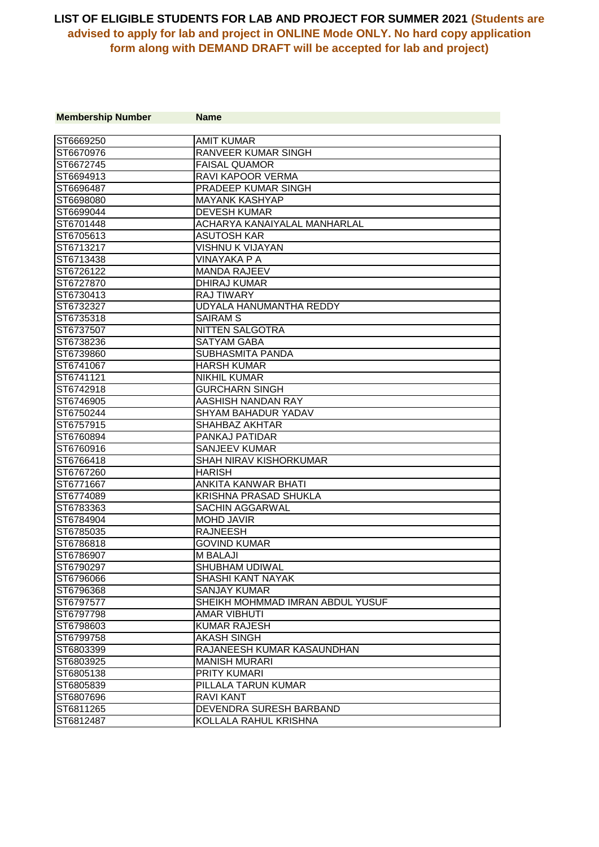| <b>Membership Number</b> | <b>Name</b>                      |
|--------------------------|----------------------------------|
|                          |                                  |
| ST6669250                | <b>AMIT KUMAR</b>                |
| ST6670976                | <b>RANVEER KUMAR SINGH</b>       |
| ST6672745                | <b>FAISAL QUAMOR</b>             |
| ST6694913                | <b>RAVI KAPOOR VERMA</b>         |
| ST6696487                | <b>PRADEEP KUMAR SINGH</b>       |
| ST6698080                | <b>MAYANK KASHYAP</b>            |
| ST6699044                | <b>DEVESH KUMAR</b>              |
| ST6701448                | ACHARYA KANAIYALAL MANHARLAL     |
| ST6705613                | <b>ASUTOSH KAR</b>               |
| ST6713217                | <b>VISHNU K VIJAYAN</b>          |
| ST6713438                | <b>VINAYAKA PA</b>               |
| ST6726122                | <b>MANDA RAJEEV</b>              |
| ST6727870                | <b>DHIRAJ KUMAR</b>              |
| ST6730413                | <b>RAJ TIWARY</b>                |
| ST6732327                | UDYALA HANUMANTHA REDDY          |
| ST6735318                | <b>SAIRAM S</b>                  |
| ST6737507                | NITTEN SALGOTRA                  |
| ST6738236                | <b>SATYAM GABA</b>               |
| ST6739860                | <b>SUBHASMITA PANDA</b>          |
| ST6741067                | <b>HARSH KUMAR</b>               |
| ST6741121                | <b>NIKHIL KUMAR</b>              |
| ST6742918                | <b>GURCHARN SINGH</b>            |
| ST6746905                | AASHISH NANDAN RAY               |
| ST6750244                | SHYAM BAHADUR YADAV              |
| ST6757915                | SHAHBAZ AKHTAR                   |
| ST6760894                | <b>PANKAJ PATIDAR</b>            |
| ST6760916                | <b>SANJEEV KUMAR</b>             |
| ST6766418                | <b>SHAH NIRAV KISHORKUMAR</b>    |
| ST6767260                | <b>HARISH</b>                    |
| ST6771667                | ANKITA KANWAR BHATI              |
| ST6774089                | KRISHNA PRASAD SHUKLA            |
| ST6783363                | <b>SACHIN AGGARWAL</b>           |
| ST6784904                | <b>MOHD JAVIR</b>                |
| ST6785035                | <b>RAJNEESH</b>                  |
| ST6786818                | <b>GOVIND KUMAR</b>              |
| ST6786907                | <b>M BALAJI</b>                  |
| ST6790297                | SHUBHAM UDIWAL                   |
| ST6796066                | SHASHI KANT NAYAK                |
| ST6796368                | <b>SANJAY KUMAR</b>              |
| ST6797577                | SHEIKH MOHMMAD IMRAN ABDUL YUSUF |
| ST6797798                | <b>AMAR VIBHUTI</b>              |
| ST6798603                | <b>KUMAR RAJESH</b>              |
| ST6799758                | <b>AKASH SINGH</b>               |
| ST6803399                | RAJANEESH KUMAR KASAUNDHAN       |
| ST6803925                | <b>MANISH MURARI</b>             |
| ST6805138                | <b>PRITY KUMARI</b>              |
| ST6805839                | PILLALA TARUN KUMAR              |
| ST6807696                | <b>RAVI KANT</b>                 |
| ST6811265                | DEVENDRA SURESH BARBAND          |
| ST6812487                | KOLLALA RAHUL KRISHNA            |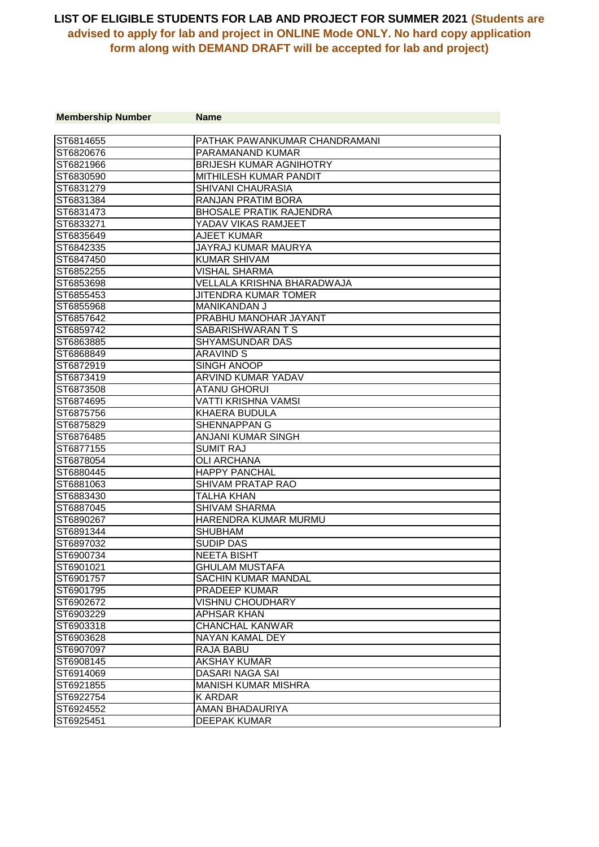| <b>Membership Number</b> | <b>Name</b>                    |
|--------------------------|--------------------------------|
| ST6814655                | PATHAK PAWANKUMAR CHANDRAMANI  |
| ST6820676                | PARAMANAND KUMAR               |
| ST6821966                | <b>BRIJESH KUMAR AGNIHOTRY</b> |
| ST6830590                | MITHILESH KUMAR PANDIT         |
| ST6831279                | SHIVANI CHAURASIA              |
| ST6831384                | RANJAN PRATIM BORA             |
| ST6831473                | <b>BHOSALE PRATIK RAJENDRA</b> |
| ST6833271                | YADAV VIKAS RAMJEET            |
| ST6835649                | <b>AJEET KUMAR</b>             |
| ST6842335                | JAYRAJ KUMAR MAURYA            |
| ST6847450                | <b>KUMAR SHIVAM</b>            |
| ST6852255                | VISHAL SHARMA                  |
| ST6853698                | VELLALA KRISHNA BHARADWAJA     |
| ST6855453                | JITENDRA KUMAR TOMER           |
| ST6855968                | <b>MANIKANDAN J</b>            |
| ST6857642                | PRABHU MANOHAR JAYANT          |
| ST6859742                | SABARISHWARAN T S              |
| ST6863885                | SHYAMSUNDAR DAS                |
| ST6868849                | <b>ARAVIND S</b>               |
| ST6872919                | SINGH ANOOP                    |
| ST6873419                | ARVIND KUMAR YADAV             |
| ST6873508                | <b>ATANU GHORUI</b>            |
| ST6874695                | <b>VATTI KRISHNA VAMSI</b>     |
| ST6875756                | <b>KHAERA BUDULA</b>           |
| ST6875829                | <b>SHENNAPPAN G</b>            |
| ST6876485                | <b>ANJANI KUMAR SINGH</b>      |
| ST6877155                | <b>SUMIT RAJ</b>               |
| ST6878054                | <b>OLI ARCHANA</b>             |
| ST6880445                | <b>HAPPY PANCHAL</b>           |
| ST6881063                | SHIVAM PRATAP RAO              |
| ST6883430                | TALHA KHAN                     |
| ST6887045                | <b>SHIVAM SHARMA</b>           |
| ST6890267                | HARENDRA KUMAR MURMU           |
| ST6891344                | <b>SHUBHAM</b>                 |
| ST6897032                | <b>SUDIP DAS</b>               |
| ST6900734                | <b>NEETA BISHT</b>             |
| ST6901021                | <b>GHULAM MUSTAFA</b>          |
| ST6901757                | SACHIN KUMAR MANDAL            |
| ST6901795                | PRADEEP KUMAR                  |
| ST6902672                | <b>VISHNU CHOUDHARY</b>        |
| ST6903229                | <b>APHSAR KHAN</b>             |
| ST6903318                | <b>CHANCHAL KANWAR</b>         |
| ST6903628                | NAYAN KAMAL DEY                |
| ST6907097                | RAJA BABU                      |
| ST6908145                | <b>AKSHAY KUMAR</b>            |
| ST6914069                | DASARI NAGA SAI                |
| ST6921855                | <b>MANISH KUMAR MISHRA</b>     |
| ST6922754                | <b>KARDAR</b>                  |
| ST6924552                | <b>AMAN BHADAURIYA</b>         |
| ST6925451                | <b>DEEPAK KUMAR</b>            |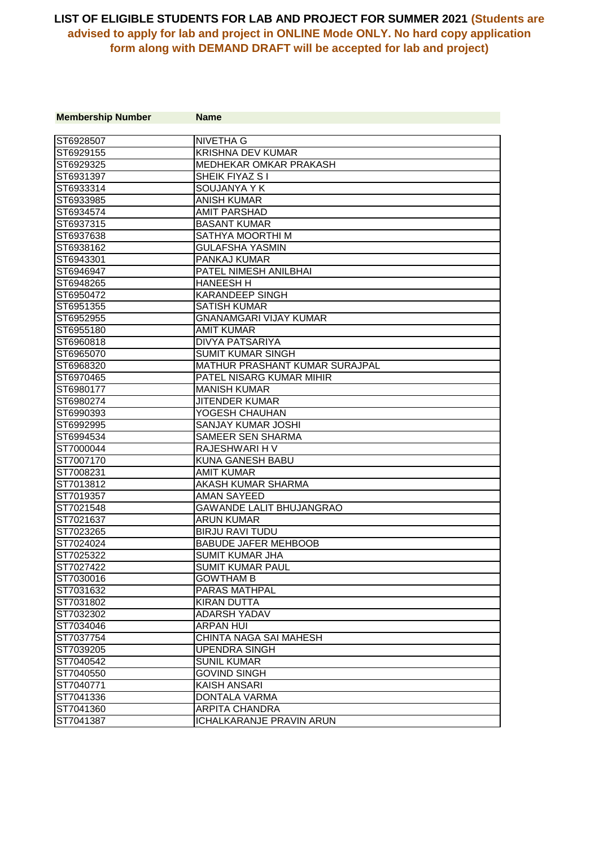| <b>Membership Number</b> | <b>Name</b>                           |
|--------------------------|---------------------------------------|
|                          |                                       |
| ST6928507                | <b>NIVETHA G</b>                      |
| ST6929155                | <b>KRISHNA DEV KUMAR</b>              |
| ST6929325                | MEDHEKAR OMKAR PRAKASH                |
| ST6931397                | SHEIK FIYAZ S I                       |
| ST6933314                | SOUJANYA Y K                          |
| ST6933985                | <b>ANISH KUMAR</b>                    |
| ST6934574                | <b>AMIT PARSHAD</b>                   |
| ST6937315                | <b>BASANT KUMAR</b>                   |
| ST6937638                | SATHYA MOORTHI M                      |
| ST6938162                | <b>GULAFSHA YASMIN</b>                |
| ST6943301                | PANKAJ KUMAR                          |
| ST6946947                | PATEL NIMESH ANILBHAI                 |
| ST6948265                | <b>HANEESH H</b>                      |
| ST6950472                | <b>KARANDEEP SINGH</b>                |
| ST6951355                | <b>SATISH KUMAR</b>                   |
| ST6952955                | <b>GNANAMGARI VIJAY KUMAR</b>         |
| ST6955180                | <b>AMIT KUMAR</b>                     |
| ST6960818                | <b>DIVYA PATSARIYA</b>                |
| ST6965070                | <b>SUMIT KUMAR SINGH</b>              |
| ST6968320                | <b>MATHUR PRASHANT KUMAR SURAJPAL</b> |
| ST6970465                | PATEL NISARG KUMAR MIHIR              |
| ST6980177                | <b>MANISH KUMAR</b>                   |
| ST6980274                | <b>JITENDER KUMAR</b>                 |
| ST6990393                | YOGESH CHAUHAN                        |
| ST6992995                | SANJAY KUMAR JOSHI                    |
| ST6994534                | <b>SAMEER SEN SHARMA</b>              |
| ST7000044                | RAJESHWARI H V                        |
| ST7007170                | KUNA GANESH BABU                      |
| ST7008231                | <b>AMIT KUMAR</b>                     |
| ST7013812                | AKASH KUMAR SHARMA                    |
| ST7019357                | <b>AMAN SAYEED</b>                    |
| ST7021548                | GAWANDE LALIT BHUJANGRAO              |
| ST7021637                | <b>ARUN KUMAR</b>                     |
| ST7023265                | <b>BIRJU RAVI TUDU</b>                |
| ST7024024                | <b>BABUDE JAFER MEHBOOB</b>           |
| ST7025322                | SUMIT KUMAR JHA                       |
| ST7027422                | <b>SUMIT KUMAR PAUL</b>               |
| ST7030016                | <b>GOWTHAM B</b>                      |
| ST7031632                | PARAS MATHPAL                         |
| ST7031802                | <b>KIRAN DUTTA</b>                    |
| ST7032302                | <b>ADARSH YADAV</b>                   |
| ST7034046                | <b>ARPAN HUI</b>                      |
| ST7037754                | CHINTA NAGA SAI MAHESH                |
| ST7039205                | <b>UPENDRA SINGH</b>                  |
| ST7040542                | <b>SUNIL KUMAR</b>                    |
| ST7040550                | <b>GOVIND SINGH</b>                   |
| ST7040771                | <b>KAISH ANSARI</b>                   |
| ST7041336                | DONTALA VARMA                         |
| ST7041360                | <b>ARPITA CHANDRA</b>                 |
| ST7041387                | <b>ICHALKARANJE PRAVIN ARUN</b>       |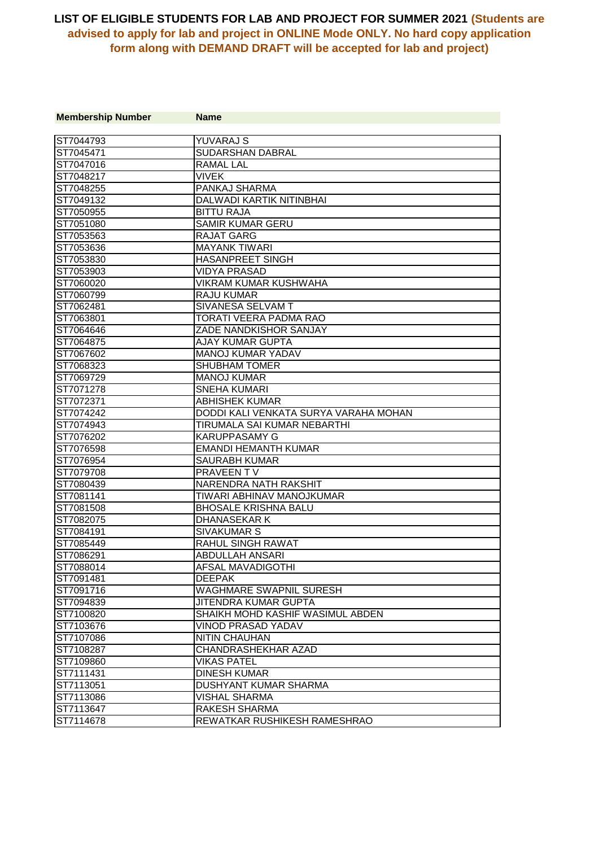| <b>Membership Number</b> | <b>Name</b>                           |
|--------------------------|---------------------------------------|
|                          |                                       |
| ST7044793                | <b>YUVARAJ S</b>                      |
| ST7045471                | SUDARSHAN DABRAL                      |
| ST7047016                | <b>RAMAL LAL</b>                      |
| ST7048217                | <b>VIVEK</b>                          |
| ST7048255                | <b>PANKAJ SHARMA</b>                  |
| ST7049132                | DALWADI KARTIK NITINBHAI              |
| ST7050955                | <b>BITTU RAJA</b>                     |
| ST7051080                | <b>SAMIR KUMAR GERU</b>               |
| ST7053563                | <b>RAJAT GARG</b>                     |
| ST7053636                | <b>MAYANK TIWARI</b>                  |
| ST7053830                | <b>HASANPREET SINGH</b>               |
| ST7053903                | <b>VIDYA PRASAD</b>                   |
| ST7060020                | <b>VIKRAM KUMAR KUSHWAHA</b>          |
| ST7060799                | <b>RAJU KUMAR</b>                     |
| ST7062481                | SIVANESA SELVAM T                     |
| ST7063801                | TORATI VEERA PADMA RAO                |
| ST7064646                | ZADE NANDKISHOR SANJAY                |
| ST7064875                | AJAY KUMAR GUPTA                      |
| ST7067602                | <b>MANOJ KUMAR YADAV</b>              |
| ST7068323                | <b>SHUBHAM TOMER</b>                  |
| ST7069729                | <b>MANOJ KUMAR</b>                    |
| ST7071278                | <b>SNEHA KUMARI</b>                   |
| ST7072371                | <b>ABHISHEK KUMAR</b>                 |
| ST7074242                | DODDI KALI VENKATA SURYA VARAHA MOHAN |
| ST7074943                | TIRUMALA SAI KUMAR NEBARTHI           |
| ST7076202                | <b>KARUPPASAMY G</b>                  |
| ST7076598                | <b>EMANDI HEMANTH KUMAR</b>           |
| ST7076954                | <b>SAURABH KUMAR</b>                  |
| ST7079708                | <b>PRAVEENT V</b>                     |
| ST7080439                | NARENDRA NATH RAKSHIT                 |
| ST7081141                | TIWARI ABHINAV MANOJKUMAR             |
| ST7081508                | <b>BHOSALE KRISHNA BALU</b>           |
| ST7082075                | <b>DHANASEKAR K</b>                   |
| ST7084191                | <b>SIVAKUMAR S</b>                    |
| ST7085449                | RAHUL SINGH RAWAT                     |
| ST7086291                | <b>ABDULLAH ANSARI</b>                |
| ST7088014                | <b>AFSAL MAVADIGOTHI</b>              |
| ST7091481                | <b>DEEPAK</b>                         |
| ST7091716                | WAGHMARE SWAPNIL SURESH               |
| ST7094839                | JITENDRA KUMAR GUPTA                  |
| ST7100820                | SHAIKH MOHD KASHIF WASIMUL ABDEN      |
| ST7103676                | <b>VINOD PRASAD YADAV</b>             |
| ST7107086                | NITIN CHAUHAN                         |
| ST7108287                | CHANDRASHEKHAR AZAD                   |
| ST7109860                | <b>VIKAS PATEL</b>                    |
| ST7111431                | <b>DINESH KUMAR</b>                   |
| ST7113051                | <b>DUSHYANT KUMAR SHARMA</b>          |
| ST7113086                | <b>VISHAL SHARMA</b>                  |
| ST7113647                | <b>RAKESH SHARMA</b>                  |
| ST7114678                | REWATKAR RUSHIKESH RAMESHRAO          |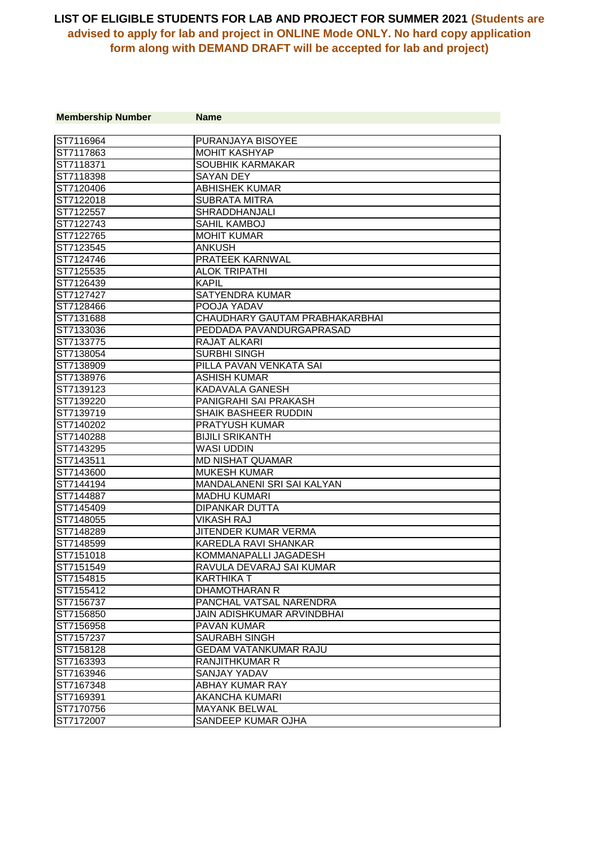| <b>Membership Number</b> | <b>Name</b>                    |
|--------------------------|--------------------------------|
|                          |                                |
| ST7116964                | PURANJAYA BISOYEE              |
| ST7117863                | <b>MOHIT KASHYAP</b>           |
| ST7118371                | SOUBHIK KARMAKAR               |
| ST7118398                | <b>SAYAN DEY</b>               |
| ST7120406                | <b>ABHISHEK KUMAR</b>          |
| ST7122018                | <b>SUBRATA MITRA</b>           |
| ST7122557                | <b>SHRADDHANJALI</b>           |
| ST7122743                | SAHIL KAMBOJ                   |
| ST7122765                | <b>MOHIT KUMAR</b>             |
| ST7123545                | <b>ANKUSH</b>                  |
| ST7124746                | PRATEEK KARNWAL                |
| ST7125535                | <b>ALOK TRIPATHI</b>           |
| ST7126439                | <b>KAPIL</b>                   |
| ST7127427                | SATYENDRA KUMAR                |
| ST7128466                | POOJA YADAV                    |
| ST7131688                | CHAUDHARY GAUTAM PRABHAKARBHAI |
| ST7133036                | PEDDADA PAVANDURGAPRASAD       |
| ST7133775                | <b>RAJAT ALKARI</b>            |
| ST7138054                | <b>SURBHI SINGH</b>            |
| ST7138909                | PILLA PAVAN VENKATA SAI        |
| ST7138976                | <b>ASHISH KUMAR</b>            |
| ST7139123                | <b>KADAVALA GANESH</b>         |
| ST7139220                | PANIGRAHI SAI PRAKASH          |
| ST7139719                | SHAIK BASHEER RUDDIN           |
| ST7140202                | <b>PRATYUSH KUMAR</b>          |
| ST7140288                | <b>BIJILI SRIKANTH</b>         |
| ST7143295                | <b>WASI UDDIN</b>              |
| ST7143511                | <b>MD NISHAT QUAMAR</b>        |
| ST7143600                | <b>MUKESH KUMAR</b>            |
| ST7144194                | MANDALANENI SRI SAI KALYAN     |
| ST7144887                | <b>MADHU KUMARI</b>            |
| ST7145409                | DIPANKAR DUTTA                 |
| ST7148055                | <b>VIKASH RAJ</b>              |
| ST7148289                | JITENDER KUMAR VERMA           |
| ST7148599                | KAREDLA RAVI SHANKAR           |
| ST7151018                | KOMMANAPALLI JAGADESH          |
| ST7151549                | RAVULA DEVARAJ SAI KUMAR       |
| ST7154815                | <b>KARTHIKA T</b>              |
| ST7155412                | DHAMOTHARAN R                  |
| ST7156737                | PANCHAL VATSAL NARENDRA        |
| ST7156850                | JAIN ADISHKUMAR ARVINDBHAI     |
| ST7156958                | PAVAN KUMAR                    |
| ST7157237                | <b>SAURABH SINGH</b>           |
| ST7158128                | <b>GEDAM VATANKUMAR RAJU</b>   |
| ST7163393                | <b>RANJITHKUMAR R</b>          |
| ST7163946                | SANJAY YADAV                   |
| ST7167348                | ABHAY KUMAR RAY                |
| ST7169391                | AKANCHA KUMARI                 |
| ST7170756                | <b>MAYANK BELWAL</b>           |
| ST7172007                | <b>SANDEEP KUMAR OJHA</b>      |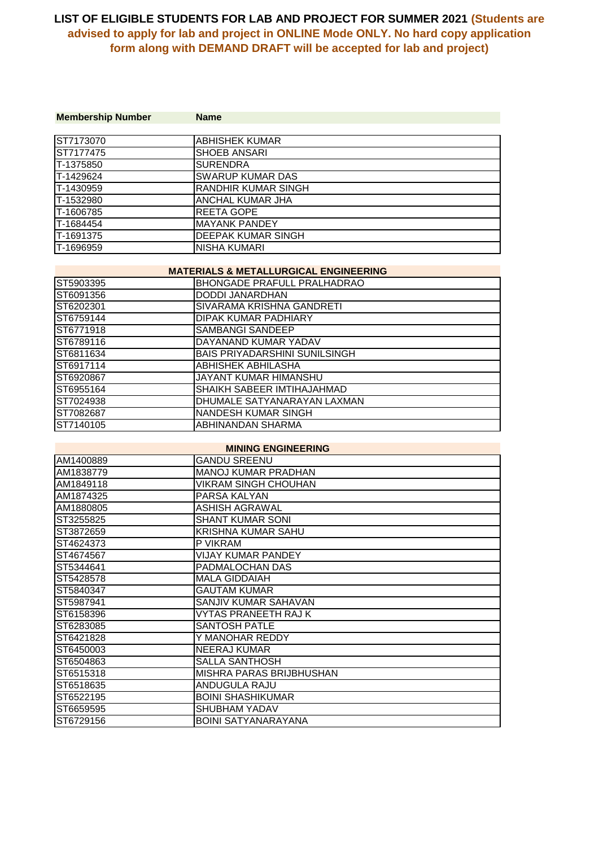| <b>Membership Number</b> | <b>Name</b>             |
|--------------------------|-------------------------|
|                          |                         |
| ST7173070                | <b>ABHISHEK KUMAR</b>   |
| ST7177475                | <b>SHOEB ANSARI</b>     |
| T-1375850                | <b>SURENDRA</b>         |
| T-1429624                | <b>SWARUP KUMAR DAS</b> |
| T-1430959                | RANDHIR KUMAR SINGH     |
| IT-1532980               | ANCHAL KUMAR JHA        |
| T-1606785                | <b>REETA GOPE</b>       |
| T-1684454                | <b>MAYANK PANDEY</b>    |
| T-1691375                | DEEPAK KUMAR SINGH      |
| T-1696959                | NISHA KUMARI            |

#### **MATERIALS & METALLURGICAL ENGINEERING**

| ST5903395 | BHONGADE PRAFULL PRALHADRAO          |
|-----------|--------------------------------------|
| ST6091356 | DODDI JANARDHAN                      |
| ST6202301 | SIVARAMA KRISHNA GANDRETI            |
| ST6759144 | <b>DIPAK KUMAR PADHIARY</b>          |
| ST6771918 | SAMBANGI SANDEEP                     |
| ST6789116 | DAYANAND KUMAR YADAV                 |
| ST6811634 | <b>BAIS PRIYADARSHINI SUNILSINGH</b> |
| ST6917114 | ABHISHEK ABHILASHA                   |
| ST6920867 | JAYANT KUMAR HIMANSHU                |
| ST6955164 | SHAIKH SABEER IMTIHAJAHMAD           |
| ST7024938 | DHUMALE SATYANARAYAN LAXMAN          |
| ST7082687 | NANDESH KUMAR SINGH                  |
| ST7140105 | ABHINANDAN SHARMA                    |

#### **MINING ENGINEERING**

| AM1400889  | <b>GANDU SREENU</b>        |
|------------|----------------------------|
| IAM1838779 | <b>MANOJ KUMAR PRADHAN</b> |
| AM1849118  | VIKRAM SINGH CHOUHAN       |
| IAM1874325 | PARSA KALYAN               |
| IAM1880805 | ASHISH AGRAWAL             |
| ST3255825  | <b>SHANT KUMAR SONI</b>    |
| ST3872659  | <b>KRISHNA KUMAR SAHU</b>  |
| ST4624373  | P VIKRAM                   |
| ST4674567  | VIJAY KUMAR PANDEY         |
| ST5344641  | PADMALOCHAN DAS            |
| ST5428578  | <b>MALA GIDDAIAH</b>       |
| ST5840347  | <b>GAUTAM KUMAR</b>        |
| ST5987941  | SANJIV KUMAR SAHAVAN       |
| IST6158396 | VYTAS PRANEETH RAJ K       |
| ST6283085  | SANTOSH PATLE              |
| ST6421828  | Y MANOHAR REDDY            |
| ST6450003  | <b>NEERAJ KUMAR</b>        |
| IST6504863 | SALLA SANTHOSH             |
| ST6515318  | IMISHRA PARAS BRIJBHUSHAN  |
| ST6518635  | ANDUGULA RAJU              |
| ST6522195  | <b>BOINI SHASHIKUMAR</b>   |
| ST6659595  | <b>SHUBHAM YADAV</b>       |
| ST6729156  | <b>BOINI SATYANARAYANA</b> |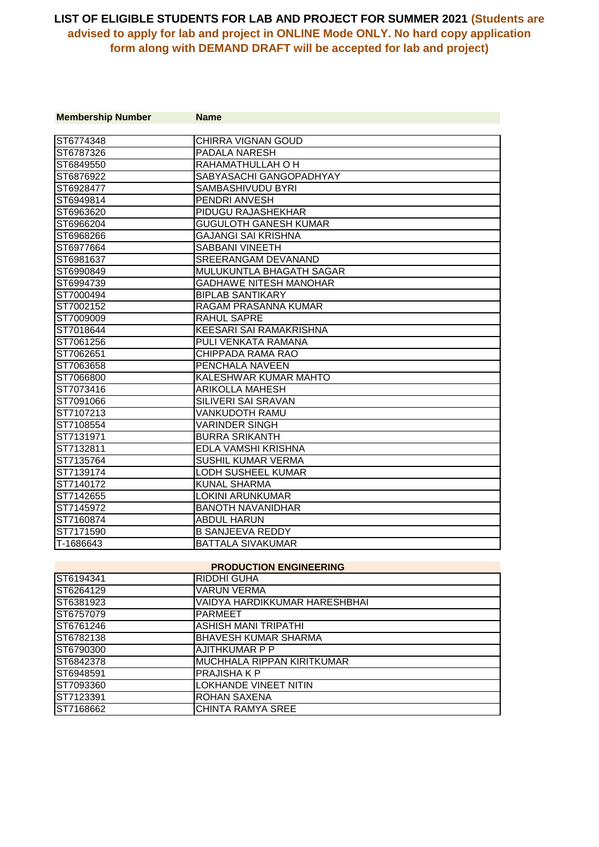| <b>Membership Number</b> | <b>Name</b>                    |
|--------------------------|--------------------------------|
| ST6774348                | <b>CHIRRA VIGNAN GOUD</b>      |
| ST6787326                | <b>PADALA NARESH</b>           |
| ST6849550                | RAHAMATHULLAH O H              |
| ST6876922                | SABYASACHI GANGOPADHYAY        |
| ST6928477                | SAMBASHIVUDU BYRI              |
| IST6949814               | <b>PENDRI ANVESH</b>           |
| ST6963620                | <b>PIDUGU RAJASHEKHAR</b>      |
| ST6966204                | <b>GUGULOTH GANESH KUMAR</b>   |
| ST6968266                | GAJANGI SAI KRISHNA            |
| ST6977664                | <b>SABBANI VINEETH</b>         |
| ST6981637                | SREERANGAM DEVANAND            |
| ST6990849                | MULUKUNTLA BHAGATH SAGAR       |
| ST6994739                | <b>GADHAWE NITESH MANOHAR</b>  |
| ST7000494                | <b>BIPLAB SANTIKARY</b>        |
| ST7002152                | RAGAM PRASANNA KUMAR           |
| ST7009009                | <b>RAHUL SAPRE</b>             |
| ST7018644                | <b>KEESARI SAI RAMAKRISHNA</b> |
| ST7061256                | PULI VENKATA RAMANA            |
| ST7062651                | CHIPPADA RAMA RAO              |
| ST7063658                | PENCHALA NAVEEN                |
| ST7066800                | KALESHWAR KUMAR MAHTO          |
| ST7073416                | <b>ARIKOLLA MAHESH</b>         |
| ST7091066                | SILIVERI SAI SRAVAN            |
| ST7107213                | VANKUDOTH RAMU                 |
| ST7108554                | <b>VARINDER SINGH</b>          |
| ST7131971                | <b>BURRA SRIKANTH</b>          |
| ST7132811                | EDLA VAMSHI KRISHNA            |
| ST7135764                | <b>SUSHIL KUMAR VERMA</b>      |
| ST7139174                | LODH SUSHEEL KUMAR             |
| ST7140172                | KUNAL SHARMA                   |
| ST7142655                | LOKINI ARUNKUMAR               |
| ST7145972                | <b>BANOTH NAVANIDHAR</b>       |
| ST7160874                | <b>ABDUL HARUN</b>             |
| ST7171590                | <b>B SANJEEVA REDDY</b>        |
| T-1686643                | <b>BATTALA SIVAKUMAR</b>       |
|                          | <b>BRABUATION FNAINFEBINA</b>  |

| <b>PRODUCTION ENGINEERING</b> |                               |
|-------------------------------|-------------------------------|
| ST6194341                     | RIDDHI GUHA                   |
| ST6264129                     | VARUN VERMA                   |
| ST6381923                     | VAIDYA HARDIKKUMAR HARESHBHAI |
| ST6757079                     | <b>PARMEET</b>                |
| ST6761246                     | <b>ASHISH MANI TRIPATHI</b>   |
| ST6782138                     | <b>BHAVESH KUMAR SHARMA</b>   |
| ST6790300                     | AJITHKUMAR P P                |
| ST6842378                     | MUCHHALA RIPPAN KIRITKUMAR    |
| ST6948591                     | <b>PRAJISHAKP</b>             |
| ST7093360                     | <b>LOKHANDE VINEET NITIN</b>  |
| ST7123391                     | ROHAN SAXENA                  |
| ST7168662                     | CHINTA RAMYA SREE             |